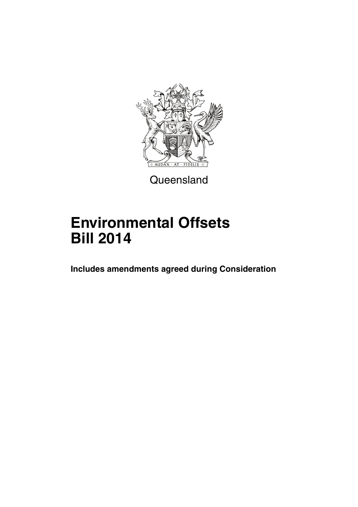

**Queensland** 

# **Environmental Offsets Bill 2014**

**Includes amendments agreed during Consideration**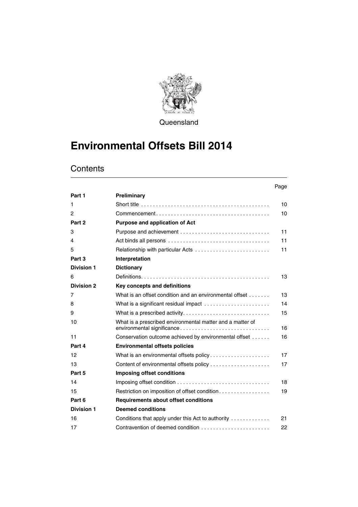

**Queensland** 

# **Environmental Offsets Bill 2014**

|                   |                                                                                            | Page |
|-------------------|--------------------------------------------------------------------------------------------|------|
| Part 1            | <b>Preliminary</b>                                                                         |      |
| 1                 |                                                                                            | 10   |
| 2                 | $Commonement \ldots \ldots \ldots \ldots \ldots \ldots \ldots \ldots \ldots \ldots \ldots$ | 10   |
| Part 2            | <b>Purpose and application of Act</b>                                                      |      |
| 3                 |                                                                                            | 11   |
| 4                 |                                                                                            | 11   |
| 5                 |                                                                                            | 11   |
| Part 3            | Interpretation                                                                             |      |
| <b>Division 1</b> | <b>Dictionary</b>                                                                          |      |
| 6                 |                                                                                            | 13   |
| <b>Division 2</b> | Key concepts and definitions                                                               |      |
| 7                 | What is an offset condition and an environmental offset                                    | 13   |
| 8                 | What is a significant residual impact                                                      | 14   |
| 9                 |                                                                                            | 15   |
| 10                | What is a prescribed environmental matter and a matter of                                  | 16   |
| 11                | Conservation outcome achieved by environmental offset                                      | 16   |
| Part 4            | <b>Environmental offsets policies</b>                                                      |      |
| 12                | What is an environmental offsets policy                                                    | 17   |
| 13                |                                                                                            | 17   |
| Part 5            | <b>Imposing offset conditions</b>                                                          |      |
| 14                |                                                                                            | 18   |
| 15                | Restriction on imposition of offset condition                                              | 19   |
| Part 6            | Requirements about offset conditions                                                       |      |
| <b>Division 1</b> | <b>Deemed conditions</b>                                                                   |      |
| 16                | Conditions that apply under this Act to authority                                          | 21   |
| 17                |                                                                                            | 22   |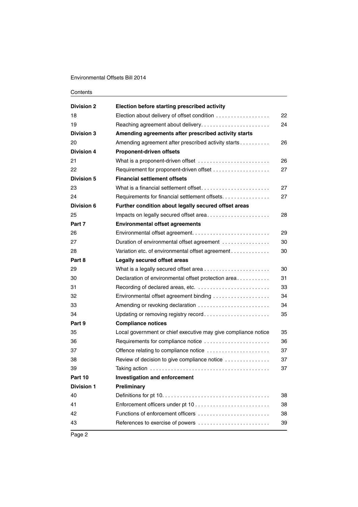#### Environmental Offsets Bill 2014

| <b>Division 2</b> | <b>Election before starting prescribed activity</b>            |    |
|-------------------|----------------------------------------------------------------|----|
| 18                | Election about delivery of offset condition                    | 22 |
| 19                | Reaching agreement about delivery                              | 24 |
| <b>Division 3</b> | Amending agreements after prescribed activity starts           |    |
| 20                | Amending agreement after prescribed activity starts            | 26 |
| <b>Division 4</b> | <b>Proponent-driven offsets</b>                                |    |
| 21                |                                                                | 26 |
| 22                |                                                                | 27 |
| <b>Division 5</b> | <b>Financial settlement offsets</b>                            |    |
| 23                |                                                                | 27 |
| 24                | Requirements for financial settlement offsets.                 | 27 |
| <b>Division 6</b> | Further condition about legally secured offset areas           |    |
| 25                | Impacts on legally secured offset area                         | 28 |
| Part 7            | <b>Environmental offset agreements</b>                         |    |
| 26                | Environmental offset agreement                                 | 29 |
| 27                | Duration of environmental offset agreement                     | 30 |
| 28                | Variation etc. of environmental offset agreement               | 30 |
| Part 8            | Legally secured offset areas                                   |    |
| 29                |                                                                | 30 |
| 30                | Declaration of environmental offset protection area            | 31 |
| 31                |                                                                | 33 |
| 32                | Environmental offset agreement binding                         | 34 |
| 33                | Amending or revoking declaration                               | 34 |
| 34                | Updating or removing registry record                           | 35 |
| Part 9            | <b>Compliance notices</b>                                      |    |
| 35                | Local government or chief executive may give compliance notice | 35 |
| 36                | Requirements for compliance notice                             | 36 |
| 37                | Offence relating to compliance notice                          | 37 |
| 38                | Review of decision to give compliance notice                   | 37 |
| 39                |                                                                | 37 |
| Part 10           | <b>Investigation and enforcement</b>                           |    |
| <b>Division 1</b> | Preliminary                                                    |    |
| 40                |                                                                | 38 |
| 41                |                                                                | 38 |
| 42                | Functions of enforcement officers                              | 38 |
| 43                | References to exercise of powers                               | 39 |
|                   |                                                                |    |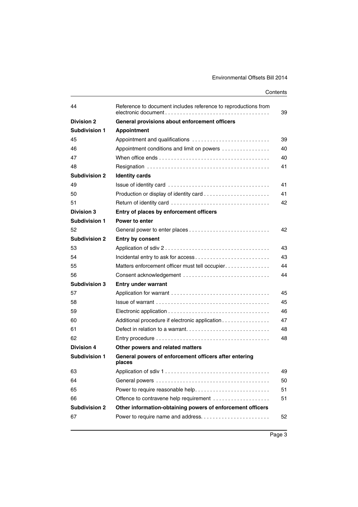| 44                   | Reference to document includes reference to reproductions from  | 39 |
|----------------------|-----------------------------------------------------------------|----|
| <b>Division 2</b>    | General provisions about enforcement officers                   |    |
| <b>Subdivision 1</b> | <b>Appointment</b>                                              |    |
| 45                   | Appointment and qualifications                                  | 39 |
| 46                   | Appointment conditions and limit on powers                      | 40 |
| 47                   |                                                                 | 40 |
| 48                   |                                                                 | 41 |
| <b>Subdivision 2</b> | <b>Identity cards</b>                                           |    |
| 49                   |                                                                 | 41 |
| 50                   |                                                                 | 41 |
| 51                   | Return of identity card                                         | 42 |
| <b>Division 3</b>    | Entry of places by enforcement officers                         |    |
| <b>Subdivision 1</b> | Power to enter                                                  |    |
| 52                   |                                                                 | 42 |
| <b>Subdivision 2</b> | <b>Entry by consent</b>                                         |    |
| 53                   |                                                                 | 43 |
| 54                   | Incidental entry to ask for access                              | 43 |
| 55                   | Matters enforcement officer must tell occupier                  | 44 |
| 56                   |                                                                 | 44 |
| <b>Subdivision 3</b> | <b>Entry under warrant</b>                                      |    |
| 57                   |                                                                 | 45 |
| 58                   |                                                                 | 45 |
| 59                   |                                                                 | 46 |
| 60                   | Additional procedure if electronic application                  | 47 |
| 61                   | Defect in relation to a warrant                                 | 48 |
| 62                   |                                                                 | 48 |
| Division 4           | Other powers and related matters                                |    |
| <b>Subdivision 1</b> | General powers of enforcement officers after entering<br>places |    |
| 63                   |                                                                 | 49 |
| 64                   |                                                                 | 50 |
| 65                   | Power to require reasonable help                                | 51 |
| 66                   |                                                                 | 51 |
| <b>Subdivision 2</b> | Other information-obtaining powers of enforcement officers      |    |
| 67                   |                                                                 | 52 |
|                      |                                                                 |    |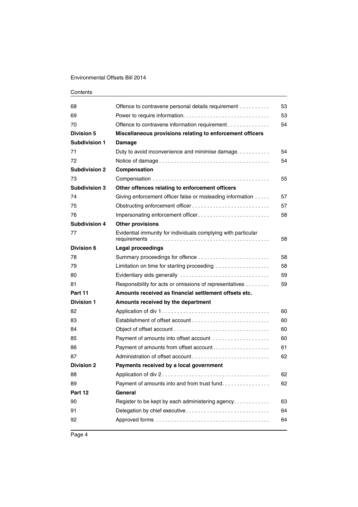| 68                   | Offence to contravene personal details requirement                                                         | 53 |
|----------------------|------------------------------------------------------------------------------------------------------------|----|
| 69                   |                                                                                                            | 53 |
| 70                   | Offence to contravene information requirement                                                              | 54 |
| <b>Division 5</b>    | Miscellaneous provisions relating to enforcement officers                                                  |    |
| <b>Subdivision 1</b> | Damage                                                                                                     |    |
| 71                   | Duty to avoid inconvenience and minimise damage.                                                           | 54 |
| 72                   |                                                                                                            | 54 |
| <b>Subdivision 2</b> | Compensation                                                                                               |    |
| 73                   |                                                                                                            | 55 |
| <b>Subdivision 3</b> | Other offences relating to enforcement officers                                                            |    |
| 74                   | Giving enforcement officer false or misleading information                                                 | 57 |
| 75                   | Obstructing enforcement officer                                                                            | 57 |
| 76                   | Impersonating enforcement officer                                                                          | 58 |
| <b>Subdivision 4</b> | <b>Other provisions</b>                                                                                    |    |
| 77                   | Evidential immunity for individuals complying with particular                                              | 58 |
| Division 6           | Legal proceedings                                                                                          |    |
| 78                   |                                                                                                            | 58 |
| 79                   | Limitation on time for starting proceeding                                                                 | 58 |
| 80                   | Evidentiary aids generally                                                                                 | 59 |
| 81                   | Responsibility for acts or omissions of representatives                                                    | 59 |
| Part 11              | Amounts received as financial settlement offsets etc.                                                      |    |
| <b>Division 1</b>    | Amounts received by the department                                                                         |    |
| 82                   |                                                                                                            | 60 |
| 83                   | Establishment of offset account $\ldots$ , $\ldots$ , $\ldots$ , $\ldots$ , $\ldots$ , $\ldots$ , $\ldots$ | 60 |
| 84                   |                                                                                                            | 60 |
| 85                   | Payment of amounts into offset account                                                                     | 60 |
| 86                   | Payment of amounts from offset account                                                                     | 61 |
| 87                   | Administration of offset account                                                                           | 62 |
| <b>Division 2</b>    | Payments received by a local government                                                                    |    |
| 88                   |                                                                                                            | 62 |
| 89                   | Payment of amounts into and from trust fund.                                                               | 62 |
| Part 12              | General                                                                                                    |    |
| 90                   | Register to be kept by each administering agency                                                           | 63 |
| 91                   |                                                                                                            | 64 |
| 92                   |                                                                                                            | 64 |
|                      |                                                                                                            |    |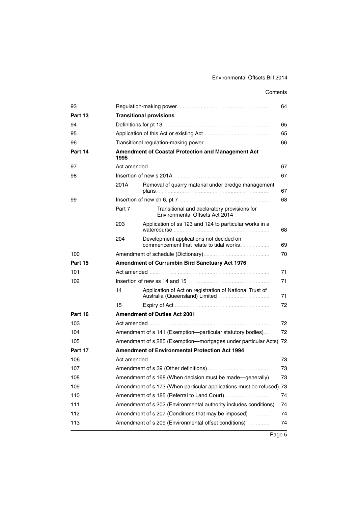| 93      | 64<br>Regulation-making power       |                                                                                                   |    |  |  |  |  |  |
|---------|-------------------------------------|---------------------------------------------------------------------------------------------------|----|--|--|--|--|--|
| Part 13 |                                     | <b>Transitional provisions</b>                                                                    |    |  |  |  |  |  |
| 94      |                                     | 65                                                                                                |    |  |  |  |  |  |
| 95      |                                     |                                                                                                   | 65 |  |  |  |  |  |
| 96      |                                     | Transitional regulation-making power                                                              | 66 |  |  |  |  |  |
| Part 14 | 1995                                | <b>Amendment of Coastal Protection and Management Act</b>                                         |    |  |  |  |  |  |
| 97      |                                     | Act amended $\ldots \ldots \ldots \ldots \ldots \ldots \ldots \ldots \ldots \ldots \ldots \ldots$ | 67 |  |  |  |  |  |
| 98      |                                     | 67                                                                                                |    |  |  |  |  |  |
|         | 201A                                | Removal of quarry material under dredge management                                                | 67 |  |  |  |  |  |
| 99      |                                     |                                                                                                   | 68 |  |  |  |  |  |
|         | Part 7                              | Transitional and declaratory provisions for<br>Environmental Offsets Act 2014                     |    |  |  |  |  |  |
|         | 203                                 | Application of ss 123 and 124 to particular works in a                                            | 68 |  |  |  |  |  |
|         | 204                                 | Development applications not decided on<br>commencement that relate to tidal works                | 69 |  |  |  |  |  |
| 100     |                                     | Amendment of schedule (Dictionary)                                                                | 70 |  |  |  |  |  |
| Part 15 |                                     | Amendment of Currumbin Bird Sanctuary Act 1976                                                    |    |  |  |  |  |  |
| 101     |                                     |                                                                                                   | 71 |  |  |  |  |  |
| 102     | Insertion of new ss 14 and 15<br>71 |                                                                                                   |    |  |  |  |  |  |
|         | 14                                  | Application of Act on registration of National Trust of<br>Australia (Queensland) Limited         | 71 |  |  |  |  |  |
|         | 15                                  |                                                                                                   | 72 |  |  |  |  |  |
| Part 16 | <b>Amendment of Duties Act 2001</b> |                                                                                                   |    |  |  |  |  |  |
| 103     |                                     |                                                                                                   | 72 |  |  |  |  |  |
| 104     |                                     | Amendment of s 141 (Exemption-particular statutory bodies)                                        | 72 |  |  |  |  |  |
| 105     |                                     | Amendment of s 285 (Exemption-mortgages under particular Acts) 72                                 |    |  |  |  |  |  |
| Part 17 |                                     | <b>Amendment of Environmental Protection Act 1994</b>                                             |    |  |  |  |  |  |
| 106     |                                     |                                                                                                   | 73 |  |  |  |  |  |
| 107     |                                     | Amendment of s 39 (Other definitions).                                                            | 73 |  |  |  |  |  |
| 108     |                                     | Amendment of s 168 (When decision must be made-generally)<br>73                                   |    |  |  |  |  |  |
| 109     |                                     | Amendment of s 173 (When particular applications must be refused) 73                              |    |  |  |  |  |  |
| 110     |                                     | Amendment of s 185 (Referral to Land Court)                                                       | 74 |  |  |  |  |  |
| 111     |                                     | Amendment of s 202 (Environmental authority includes conditions)                                  | 74 |  |  |  |  |  |
| 112     |                                     | Amendment of s 207 (Conditions that may be imposed)                                               | 74 |  |  |  |  |  |
| 113     |                                     | Amendment of s 209 (Environmental offset conditions)                                              | 74 |  |  |  |  |  |
|         |                                     |                                                                                                   |    |  |  |  |  |  |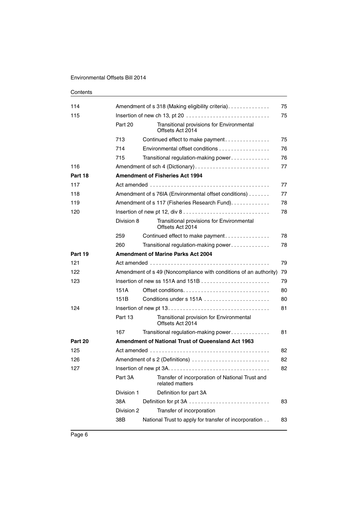| 114     | Amendment of s 318 (Making eligibility criteria). |                                                                                                       |    |  |  |  |  |  |  |
|---------|---------------------------------------------------|-------------------------------------------------------------------------------------------------------|----|--|--|--|--|--|--|
| 115     |                                                   | 75<br>Insertion of new ch 13, pt 20 $\dots \dots \dots \dots \dots \dots \dots \dots \dots \dots$     |    |  |  |  |  |  |  |
|         | Part 20                                           | Transitional provisions for Environmental<br>Offsets Act 2014                                         |    |  |  |  |  |  |  |
|         | 713                                               | Continued effect to make payment                                                                      | 75 |  |  |  |  |  |  |
|         | 714                                               | Environmental offset conditions                                                                       | 76 |  |  |  |  |  |  |
|         | 715                                               | Transitional regulation-making power                                                                  | 76 |  |  |  |  |  |  |
| 116     |                                                   |                                                                                                       |    |  |  |  |  |  |  |
| Part 18 |                                                   | <b>Amendment of Fisheries Act 1994</b>                                                                |    |  |  |  |  |  |  |
| 117     |                                                   | 77                                                                                                    |    |  |  |  |  |  |  |
| 118     |                                                   | Amendment of s 76IA (Environmental offset conditions)                                                 | 77 |  |  |  |  |  |  |
| 119     |                                                   | Amendment of s 117 (Fisheries Research Fund).                                                         | 78 |  |  |  |  |  |  |
| 120     |                                                   | Insertion of new pt 12, div $8 \ldots \ldots \ldots \ldots \ldots \ldots \ldots \ldots \ldots$        | 78 |  |  |  |  |  |  |
|         | Division 8                                        | Transitional provisions for Environmental<br>Offsets Act 2014                                         |    |  |  |  |  |  |  |
|         | 259                                               | Continued effect to make payment.                                                                     | 78 |  |  |  |  |  |  |
|         | 260                                               | Transitional regulation-making power                                                                  | 78 |  |  |  |  |  |  |
| Part 19 |                                                   | <b>Amendment of Marine Parks Act 2004</b>                                                             |    |  |  |  |  |  |  |
| 121     |                                                   | 79                                                                                                    |    |  |  |  |  |  |  |
| 122     |                                                   | Amendment of s 49 (Noncompliance with conditions of an authority)<br>79                               |    |  |  |  |  |  |  |
| 123     |                                                   | 79                                                                                                    |    |  |  |  |  |  |  |
|         | 151A                                              | Offset conditions                                                                                     | 80 |  |  |  |  |  |  |
|         | 151B                                              | Conditions under s 151A                                                                               | 80 |  |  |  |  |  |  |
| 124     |                                                   | Insertion of new pt $13. \ldots \ldots \ldots \ldots \ldots \ldots \ldots \ldots \ldots \ldots$<br>81 |    |  |  |  |  |  |  |
|         | Part 13                                           | Transitional provision for Environmental<br>Offsets Act 2014                                          |    |  |  |  |  |  |  |
|         | 167                                               | Transitional regulation-making power                                                                  | 81 |  |  |  |  |  |  |
| Part 20 |                                                   | <b>Amendment of National Trust of Queensland Act 1963</b>                                             |    |  |  |  |  |  |  |
| 125     |                                                   | Act amended $\ldots \ldots \ldots \ldots \ldots \ldots \ldots \ldots \ldots \ldots \ldots \ldots$     | 82 |  |  |  |  |  |  |
| 126     |                                                   | Amendment of s 2 (Definitions)                                                                        | 82 |  |  |  |  |  |  |
| 127     |                                                   | Insertion of new pt 3A. .                                                                             |    |  |  |  |  |  |  |
|         | Part 3A                                           | Transfer of incorporation of National Trust and<br>related matters                                    |    |  |  |  |  |  |  |
|         | Division 1                                        | Definition for part 3A                                                                                |    |  |  |  |  |  |  |
|         | 38A                                               |                                                                                                       | 83 |  |  |  |  |  |  |
|         | Division 2                                        | Transfer of incorporation                                                                             |    |  |  |  |  |  |  |
|         | 38B                                               | National Trust to apply for transfer of incorporation                                                 | 83 |  |  |  |  |  |  |
|         |                                                   |                                                                                                       |    |  |  |  |  |  |  |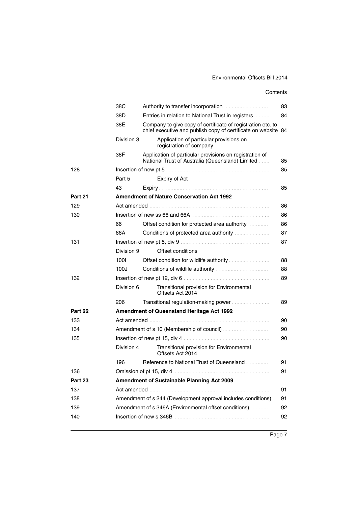|         | 38C                                                                                            | Authority to transfer incorporation                                                                                          | 83 |  |  |  |  |  |  |
|---------|------------------------------------------------------------------------------------------------|------------------------------------------------------------------------------------------------------------------------------|----|--|--|--|--|--|--|
|         | 38D                                                                                            | Entries in relation to National Trust in registers                                                                           |    |  |  |  |  |  |  |
|         | 38E                                                                                            | Company to give copy of certificate of registration etc. to<br>chief executive and publish copy of certificate on website 84 |    |  |  |  |  |  |  |
|         | Division 3                                                                                     | Application of particular provisions on<br>registration of company                                                           |    |  |  |  |  |  |  |
|         | 38F                                                                                            | Application of particular provisions on registration of<br>National Trust of Australia (Queensland) Limited                  | 85 |  |  |  |  |  |  |
| 128     | Insertion of new pt $5. \ldots \ldots \ldots \ldots \ldots \ldots \ldots \ldots \ldots \ldots$ |                                                                                                                              |    |  |  |  |  |  |  |
|         | Part 5                                                                                         | Expiry of Act                                                                                                                |    |  |  |  |  |  |  |
|         | 43                                                                                             |                                                                                                                              | 85 |  |  |  |  |  |  |
| Part 21 |                                                                                                | <b>Amendment of Nature Conservation Act 1992</b>                                                                             |    |  |  |  |  |  |  |
| 129     | 86                                                                                             |                                                                                                                              |    |  |  |  |  |  |  |
| 130     |                                                                                                | Insertion of new ss 66 and 66A $\ldots$ , , , , , ,                                                                          | 86 |  |  |  |  |  |  |
|         | 66                                                                                             | Offset condition for protected area authority                                                                                | 86 |  |  |  |  |  |  |
|         | 66A                                                                                            | Conditions of protected area authority                                                                                       | 87 |  |  |  |  |  |  |
| 131     |                                                                                                |                                                                                                                              |    |  |  |  |  |  |  |
|         | Division 9                                                                                     | Offset conditions                                                                                                            |    |  |  |  |  |  |  |
|         | 1001                                                                                           | Offset condition for wildlife authority.                                                                                     | 88 |  |  |  |  |  |  |
|         | 100J                                                                                           | Conditions of wildlife authority                                                                                             | 88 |  |  |  |  |  |  |
| 132     |                                                                                                | Insertion of new pt 12, div $6 \ldots \ldots \ldots \ldots \ldots \ldots \ldots \ldots \ldots$                               |    |  |  |  |  |  |  |
|         | Division 6                                                                                     | Transitional provision for Environmental<br>Offsets Act 2014                                                                 |    |  |  |  |  |  |  |
|         | 206                                                                                            | Transitional regulation-making power                                                                                         | 89 |  |  |  |  |  |  |
| Part 22 |                                                                                                | Amendment of Queensland Heritage Act 1992                                                                                    |    |  |  |  |  |  |  |
| 133     |                                                                                                |                                                                                                                              | 90 |  |  |  |  |  |  |
| 134     |                                                                                                | Amendment of s 10 (Membership of council).                                                                                   | 90 |  |  |  |  |  |  |
| 135     |                                                                                                | Insertion of new pt 15, div $4 \ldots \ldots \ldots \ldots \ldots \ldots \ldots \ldots \ldots$                               | 90 |  |  |  |  |  |  |
|         | Division 4                                                                                     | Transitional provision for Environmental<br>Offsets Act 2014                                                                 |    |  |  |  |  |  |  |
|         | 196                                                                                            | Reference to National Trust of Queensland                                                                                    | 91 |  |  |  |  |  |  |
| 136     |                                                                                                |                                                                                                                              | 91 |  |  |  |  |  |  |
| Part 23 |                                                                                                | Amendment of Sustainable Planning Act 2009                                                                                   |    |  |  |  |  |  |  |
| 137     |                                                                                                |                                                                                                                              | 91 |  |  |  |  |  |  |
| 138     |                                                                                                | Amendment of s 244 (Development approval includes conditions)                                                                | 91 |  |  |  |  |  |  |
| 139     |                                                                                                | Amendment of s 346A (Environmental offset conditions).                                                                       | 92 |  |  |  |  |  |  |
| 140     |                                                                                                |                                                                                                                              | 92 |  |  |  |  |  |  |
|         |                                                                                                |                                                                                                                              |    |  |  |  |  |  |  |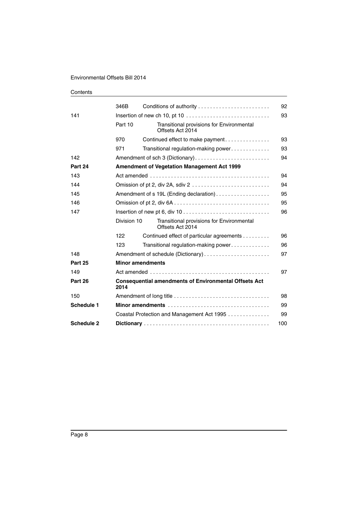| <b>Schedule 2</b> |                                                                                             |                                                               | 100 |  |  |  |  |
|-------------------|---------------------------------------------------------------------------------------------|---------------------------------------------------------------|-----|--|--|--|--|
|                   | Coastal Protection and Management Act 1995<br>99                                            |                                                               |     |  |  |  |  |
| Schedule 1        | 99<br>Minor amendments                                                                      |                                                               |     |  |  |  |  |
| 150               |                                                                                             |                                                               |     |  |  |  |  |
| Part 26           | <b>Consequential amendments of Environmental Offsets Act</b><br>2014                        |                                                               |     |  |  |  |  |
| 149               | 97                                                                                          |                                                               |     |  |  |  |  |
| Part 25           | <b>Minor amendments</b>                                                                     |                                                               |     |  |  |  |  |
| 148               | Amendment of schedule (Dictionary)                                                          |                                                               |     |  |  |  |  |
|                   | 123                                                                                         | Transitional regulation-making power                          |     |  |  |  |  |
|                   | 122                                                                                         | Continued effect of particular agreements                     | 96  |  |  |  |  |
|                   | Division 10                                                                                 | Transitional provisions for Environmental<br>Offsets Act 2014 |     |  |  |  |  |
| 147               | 96                                                                                          |                                                               |     |  |  |  |  |
| 146               |                                                                                             |                                                               |     |  |  |  |  |
| 145               | Amendment of s 19L (Ending declaration)                                                     |                                                               |     |  |  |  |  |
| 144               |                                                                                             |                                                               |     |  |  |  |  |
| 143               |                                                                                             |                                                               | 94  |  |  |  |  |
| Part 24           | Amendment of Vegetation Management Act 1999                                                 |                                                               |     |  |  |  |  |
| 142               |                                                                                             | Amendment of sch 3 (Dictionary)                               | 94  |  |  |  |  |
|                   | 971                                                                                         | Transitional regulation-making power                          | 93  |  |  |  |  |
|                   | 970                                                                                         | Continued effect to make payment.                             | 93  |  |  |  |  |
|                   | Part 10                                                                                     | Transitional provisions for Environmental<br>Offsets Act 2014 |     |  |  |  |  |
| 141               | Insertion of new ch 10, pt 10 $\dots \dots \dots \dots \dots \dots \dots \dots \dots \dots$ |                                                               |     |  |  |  |  |
|                   | 346B                                                                                        |                                                               |     |  |  |  |  |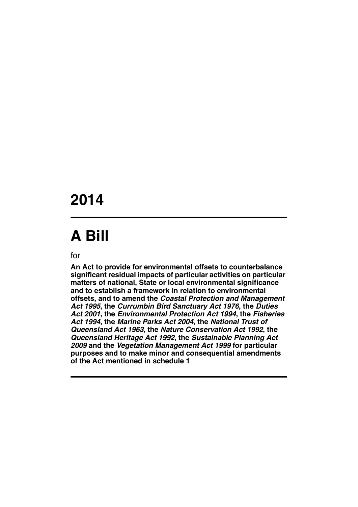# **2014**

# **A Bill**

for

**An Act to provide for environmental offsets to counterbalance significant residual impacts of particular activities on particular matters of national, State or local environmental significance and to establish a framework in relation to environmental offsets, and to amend the** *Coastal Protection and Management Act 1995***, the** *Currumbin Bird Sanctuary Act 1976***, the** *Duties Act 2001***, the** *Environmental Protection Act 1994***, the** *Fisheries Act 1994***, the** *Marine Parks Act 2004***, the** *National Trust of Queensland Act 1963***, the** *Nature Conservation Act 1992***, the**  *Queensland Heritage Act 1992***, the** *Sustainable Planning Act 2009* **and the** *Vegetation Management Act 1999* **for particular purposes and to make minor and consequential amendments of the Act mentioned in schedule 1**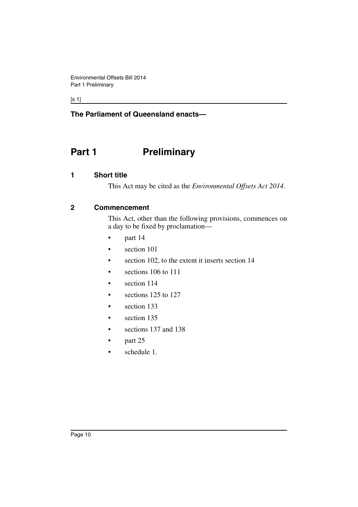[s 1]

# **The Parliament of Queensland enacts—**

# <span id="page-11-0"></span>**Part 1** Preliminary

#### <span id="page-11-1"></span>**1 Short title**

This Act may be cited as the *Environmental Offsets Act 2014*.

#### <span id="page-11-2"></span>**2 Commencement**

This Act, other than the following provisions, commences on a day to be fixed by proclamation—

- part 14
- section 101
- section 102, to the extent it inserts section 14
- sections 106 to 111
- section 114
- sections 125 to 127
- section 133
- section 135
- sections 137 and 138
- part 25
- schedule 1.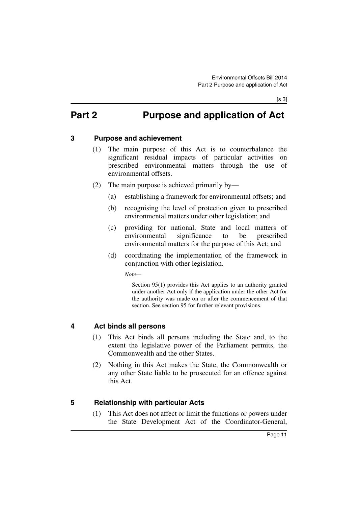# <span id="page-12-0"></span>**Part 2 Purpose and application of Act**

### <span id="page-12-1"></span>**3 Purpose and achievement**

- (1) The main purpose of this Act is to counterbalance the significant residual impacts of particular activities on prescribed environmental matters through the use of environmental offsets.
- (2) The main purpose is achieved primarily by—
	- (a) establishing a framework for environmental offsets; and
	- (b) recognising the level of protection given to prescribed environmental matters under other legislation; and
	- (c) providing for national, State and local matters of environmental significance to be prescribed environmental matters for the purpose of this Act; and
	- (d) coordinating the implementation of the framework in conjunction with other legislation.

*Note—*

Section 95(1) provides this Act applies to an authority granted under another Act only if the application under the other Act for the authority was made on or after the commencement of that section. See section 95 for further relevant provisions.

#### <span id="page-12-2"></span>**4 Act binds all persons**

- (1) This Act binds all persons including the State and, to the extent the legislative power of the Parliament permits, the Commonwealth and the other States.
- (2) Nothing in this Act makes the State, the Commonwealth or any other State liable to be prosecuted for an offence against this Act.

#### <span id="page-12-3"></span>**5 Relationship with particular Acts**

(1) This Act does not affect or limit the functions or powers under the State Development Act of the Coordinator-General,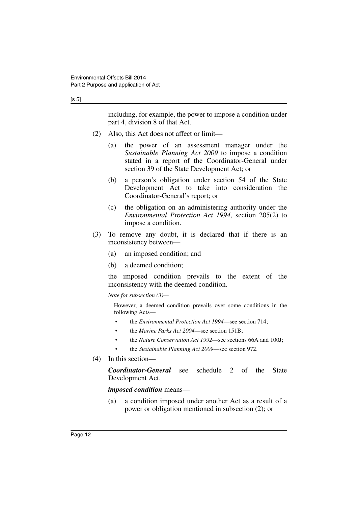#### $[s 5]$

including, for example, the power to impose a condition under part 4, division 8 of that Act.

- (2) Also, this Act does not affect or limit—
	- (a) the power of an assessment manager under the *Sustainable Planning Act 2009* to impose a condition stated in a report of the Coordinator-General under section 39 of the State Development Act; or
	- (b) a person's obligation under section 54 of the State Development Act to take into consideration the Coordinator-General's report; or
	- (c) the obligation on an administering authority under the *Environmental Protection Act 1994*, section 205(2) to impose a condition.
- (3) To remove any doubt, it is declared that if there is an inconsistency between—
	- (a) an imposed condition; and
	- (b) a deemed condition;

the imposed condition prevails to the extent of the inconsistency with the deemed condition.

*Note for subsection (3)—*

However, a deemed condition prevails over some conditions in the following Acts—

- the *Environmental Protection Act 1994*—see section 714;
- the *Marine Parks Act 2004*—see section 151B;
- the *Nature Conservation Act 1992*—see sections 66A and 100J;
- the *Sustainable Planning Act 2009*—see section 972.
- (4) In this section—

*Coordinator-General* see schedule 2 of the State Development Act.

#### *imposed condition* means—

(a) a condition imposed under another Act as a result of a power or obligation mentioned in subsection (2); or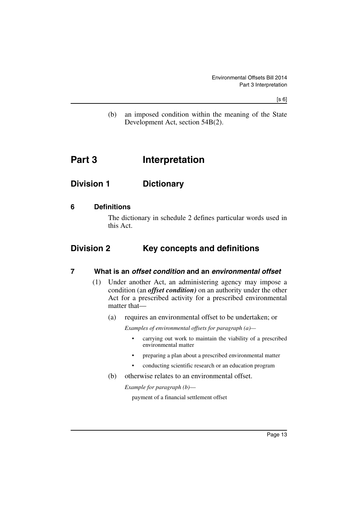(b) an imposed condition within the meaning of the State Development Act, section 54B(2).

# <span id="page-14-0"></span>**Part 3 Interpretation**

# <span id="page-14-1"></span>**Division 1 Dictionary**

#### <span id="page-14-2"></span>**6 Definitions**

The dictionary in schedule 2 defines particular words used in this Act.

# <span id="page-14-3"></span>**Division 2 Key concepts and definitions**

#### <span id="page-14-4"></span>**7 What is an** *offset condition* **and an** *environmental offset*

- (1) Under another Act, an administering agency may impose a condition (an *offset condition)* on an authority under the other Act for a prescribed activity for a prescribed environmental matter that—
	- (a) requires an environmental offset to be undertaken; or

*Examples of environmental offsets for paragraph (a)—*

- carrying out work to maintain the viability of a prescribed environmental matter
- preparing a plan about a prescribed environmental matter
- conducting scientific research or an education program
- (b) otherwise relates to an environmental offset.

*Example for paragraph (b)*—

payment of a financial settlement offset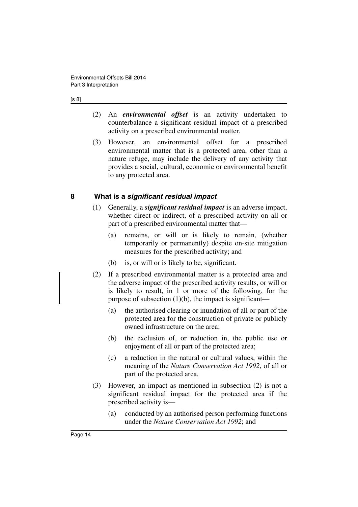#### [s 8]

- (2) An *environmental offset* is an activity undertaken to counterbalance a significant residual impact of a prescribed activity on a prescribed environmental matter.
- (3) However, an environmental offset for a prescribed environmental matter that is a protected area, other than a nature refuge, may include the delivery of any activity that provides a social, cultural, economic or environmental benefit to any protected area.

### <span id="page-15-0"></span>**8 What is a** *significant residual impact*

- (1) Generally, a *significant residual impact* is an adverse impact, whether direct or indirect, of a prescribed activity on all or part of a prescribed environmental matter that—
	- (a) remains, or will or is likely to remain, (whether temporarily or permanently) despite on-site mitigation measures for the prescribed activity; and
	- (b) is, or will or is likely to be, significant.
- (2) If a prescribed environmental matter is a protected area and the adverse impact of the prescribed activity results, or will or is likely to result, in 1 or more of the following, for the purpose of subsection  $(1)(b)$ , the impact is significant—
	- (a) the authorised clearing or inundation of all or part of the protected area for the construction of private or publicly owned infrastructure on the area;
	- (b) the exclusion of, or reduction in, the public use or enjoyment of all or part of the protected area;
	- (c) a reduction in the natural or cultural values, within the meaning of the *Nature Conservation Act 1992*, of all or part of the protected area.
- (3) However, an impact as mentioned in subsection (2) is not a significant residual impact for the protected area if the prescribed activity is—
	- (a) conducted by an authorised person performing functions under the *Nature Conservation Act 1992*; and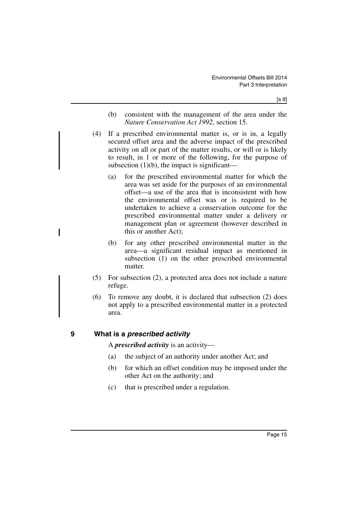- (b) consistent with the management of the area under the *Nature Conservation Act 1992*, section 15.
- (4) If a prescribed environmental matter is, or is in, a legally secured offset area and the adverse impact of the prescribed activity on all or part of the matter results, or will or is likely to result, in 1 or more of the following, for the purpose of subsection  $(1)(b)$ , the impact is significant—
	- (a) for the prescribed environmental matter for which the area was set aside for the purposes of an environmental offset—a use of the area that is inconsistent with how the environmental offset was or is required to be undertaken to achieve a conservation outcome for the prescribed environmental matter under a delivery or management plan or agreement (however described in this or another Act);
	- (b) for any other prescribed environmental matter in the area—a significant residual impact as mentioned in subsection (1) on the other prescribed environmental matter.
- (5) For subsection (2), a protected area does not include a nature refuge.
- (6) To remove any doubt, it is declared that subsection (2) does not apply to a prescribed environmental matter in a protected area.

#### <span id="page-16-0"></span>**9 What is a** *prescribed activity*

ı

A *prescribed activity* is an activity—

- (a) the subject of an authority under another Act; and
- (b) for which an offset condition may be imposed under the other Act on the authority; and
- (c) that is prescribed under a regulation.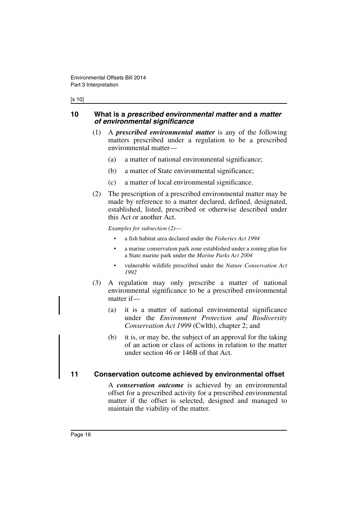#### [s 10]

#### <span id="page-17-0"></span>**10 What is a** *prescribed environmental matter* **and a** *matter of environmental significance*

- (1) A *prescribed environmental matter* is any of the following matters prescribed under a regulation to be a prescribed environmental matter—
	- (a) a matter of national environmental significance;
	- (b) a matter of State environmental significance;
	- (c) a matter of local environmental significance.
- (2) The prescription of a prescribed environmental matter may be made by reference to a matter declared, defined, designated, established, listed, prescribed or otherwise described under this Act or another Act.

*Examples for subsection (2)*—

- a fish habitat area declared under the *Fisheries Act 1994*
- a marine conservation park zone established under a zoning plan for a State marine park under the *Marine Parks Act 2004*
- vulnerable wildlife prescribed under the *Nature Conservation Act 1992*
- (3) A regulation may only prescribe a matter of national environmental significance to be a prescribed environmental matter if—
	- (a) it is a matter of national environmental significance under the *Environment Protection and Biodiversity Conservation Act 1999* (Cwlth), chapter 2; and
	- (b) it is, or may be, the subject of an approval for the taking of an action or class of actions in relation to the matter under section 46 or 146B of that Act.

#### <span id="page-17-1"></span>**11 Conservation outcome achieved by environmental offset**

A *conservation outcome* is achieved by an environmental offset for a prescribed activity for a prescribed environmental matter if the offset is selected, designed and managed to maintain the viability of the matter.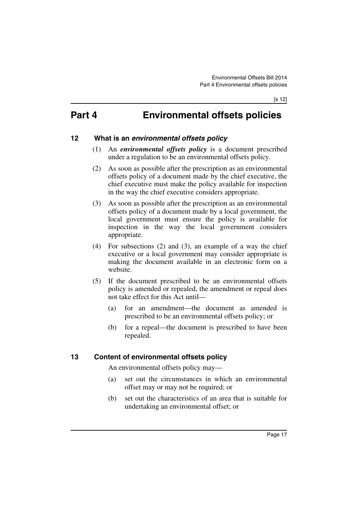# <span id="page-18-0"></span>**Part 4 Environmental offsets policies**

### <span id="page-18-1"></span>**12 What is an** *environmental offsets policy*

- (1) An *environmental offsets policy* is a document prescribed under a regulation to be an environmental offsets policy.
- (2) As soon as possible after the prescription as an environmental offsets policy of a document made by the chief executive, the chief executive must make the policy available for inspection in the way the chief executive considers appropriate.
- (3) As soon as possible after the prescription as an environmental offsets policy of a document made by a local government, the local government must ensure the policy is available for inspection in the way the local government considers appropriate.
- (4) For subsections (2) and (3), an example of a way the chief executive or a local government may consider appropriate is making the document available in an electronic form on a website.
- (5) If the document prescribed to be an environmental offsets policy is amended or repealed, the amendment or repeal does not take effect for this Act until—
	- (a) for an amendment—the document as amended is prescribed to be an environmental offsets policy; or
	- (b) for a repeal—the document is prescribed to have been repealed.

#### <span id="page-18-2"></span>**13 Content of environmental offsets policy**

An environmental offsets policy may—

- (a) set out the circumstances in which an environmental offset may or may not be required; or
- (b) set out the characteristics of an area that is suitable for undertaking an environmental offset; or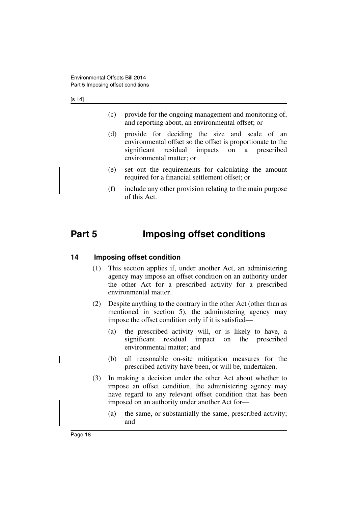#### [s 14]

- (c) provide for the ongoing management and monitoring of, and reporting about, an environmental offset; or
- (d) provide for deciding the size and scale of an environmental offset so the offset is proportionate to the significant residual impacts on a prescribed environmental matter; or
- (e) set out the requirements for calculating the amount required for a financial settlement offset; or
- (f) include any other provision relating to the main purpose of this Act.

# <span id="page-19-0"></span>**Part 5 Imposing offset conditions**

#### <span id="page-19-1"></span>**14 Imposing offset condition**

- (1) This section applies if, under another Act, an administering agency may impose an offset condition on an authority under the other Act for a prescribed activity for a prescribed environmental matter.
- (2) Despite anything to the contrary in the other Act (other than as mentioned in section 5), the administering agency may impose the offset condition only if it is satisfied—
	- (a) the prescribed activity will, or is likely to have, a significant residual impact on the prescribed environmental matter; and
	- (b) all reasonable on-site mitigation measures for the prescribed activity have been, or will be, undertaken.
- (3) In making a decision under the other Act about whether to impose an offset condition, the administering agency may have regard to any relevant offset condition that has been imposed on an authority under another Act for—
	- (a) the same, or substantially the same, prescribed activity; and

I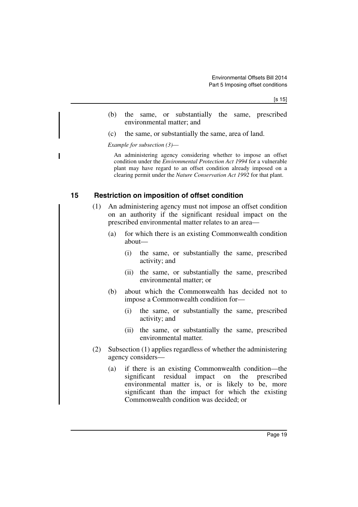- (b) the same, or substantially the same, prescribed environmental matter; and
- (c) the same, or substantially the same, area of land.

*Example for subsection (3)*—

An administering agency considering whether to impose an offset condition under the *Environmental Protection Act 1994* for a vulnerable plant may have regard to an offset condition already imposed on a clearing permit under the *Nature Conservation Act 1992* for that plant.

### <span id="page-20-0"></span>**15 Restriction on imposition of offset condition**

- (1) An administering agency must not impose an offset condition on an authority if the significant residual impact on the prescribed environmental matter relates to an area—
	- (a) for which there is an existing Commonwealth condition about—
		- (i) the same, or substantially the same, prescribed activity; and
		- (ii) the same, or substantially the same, prescribed environmental matter; or
	- (b) about which the Commonwealth has decided not to impose a Commonwealth condition for—
		- (i) the same, or substantially the same, prescribed activity; and
		- (ii) the same, or substantially the same, prescribed environmental matter.
- (2) Subsection (1) applies regardless of whether the administering agency considers—
	- (a) if there is an existing Commonwealth condition—the significant residual impact on the prescribed environmental matter is, or is likely to be, more significant than the impact for which the existing Commonwealth condition was decided; or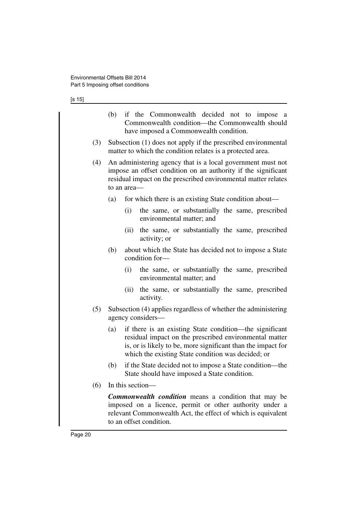### [s 15]

|                                                                                                                 | (b)                                                                                                                                                                                                           |                                                                                                                                                                                                                                         |  | have imposed a Commonwealth condition. |  |  |  |  |                                                         | if the Commonwealth decided not to impose a<br>Commonwealth condition—the Commonwealth should |  |
|-----------------------------------------------------------------------------------------------------------------|---------------------------------------------------------------------------------------------------------------------------------------------------------------------------------------------------------------|-----------------------------------------------------------------------------------------------------------------------------------------------------------------------------------------------------------------------------------------|--|----------------------------------------|--|--|--|--|---------------------------------------------------------|-----------------------------------------------------------------------------------------------|--|
| (3)                                                                                                             | Subsection (1) does not apply if the prescribed environmental<br>matter to which the condition relates is a protected area.                                                                                   |                                                                                                                                                                                                                                         |  |                                        |  |  |  |  |                                                         |                                                                                               |  |
| (4)                                                                                                             | An administering agency that is a local government must not<br>impose an offset condition on an authority if the significant<br>residual impact on the prescribed environmental matter relates<br>to an area— |                                                                                                                                                                                                                                         |  |                                        |  |  |  |  |                                                         |                                                                                               |  |
|                                                                                                                 | (a)                                                                                                                                                                                                           |                                                                                                                                                                                                                                         |  |                                        |  |  |  |  |                                                         | for which there is an existing State condition about—                                         |  |
|                                                                                                                 |                                                                                                                                                                                                               | (i)                                                                                                                                                                                                                                     |  | environmental matter; and              |  |  |  |  |                                                         | the same, or substantially the same, prescribed                                               |  |
|                                                                                                                 |                                                                                                                                                                                                               | (ii)                                                                                                                                                                                                                                    |  | activity; or                           |  |  |  |  |                                                         | the same, or substantially the same, prescribed                                               |  |
|                                                                                                                 | (b)                                                                                                                                                                                                           |                                                                                                                                                                                                                                         |  | condition for-                         |  |  |  |  | about which the State has decided not to impose a State |                                                                                               |  |
|                                                                                                                 |                                                                                                                                                                                                               | (i)                                                                                                                                                                                                                                     |  | environmental matter; and              |  |  |  |  |                                                         | the same, or substantially the same, prescribed                                               |  |
|                                                                                                                 |                                                                                                                                                                                                               | (ii)                                                                                                                                                                                                                                    |  | activity.                              |  |  |  |  |                                                         | the same, or substantially the same, prescribed                                               |  |
| (5)                                                                                                             | Subsection (4) applies regardless of whether the administering<br>agency considers-                                                                                                                           |                                                                                                                                                                                                                                         |  |                                        |  |  |  |  |                                                         |                                                                                               |  |
|                                                                                                                 | (a)                                                                                                                                                                                                           | if there is an existing State condition—the significant<br>residual impact on the prescribed environmental matter<br>is, or is likely to be, more significant than the impact for<br>which the existing State condition was decided; or |  |                                        |  |  |  |  |                                                         |                                                                                               |  |
| (b)<br>if the State decided not to impose a State condition-the<br>State should have imposed a State condition. |                                                                                                                                                                                                               |                                                                                                                                                                                                                                         |  |                                        |  |  |  |  |                                                         |                                                                                               |  |
| (6)                                                                                                             | In this section-                                                                                                                                                                                              |                                                                                                                                                                                                                                         |  |                                        |  |  |  |  |                                                         |                                                                                               |  |
|                                                                                                                 | <b>Commonwealth condition</b> means a condition that may be<br>imposed on a licence, permit or other authority under a<br>relevant Commonwealth Act, the effect of which is equivalent                        |                                                                                                                                                                                                                                         |  |                                        |  |  |  |  |                                                         |                                                                                               |  |

to an offset condition.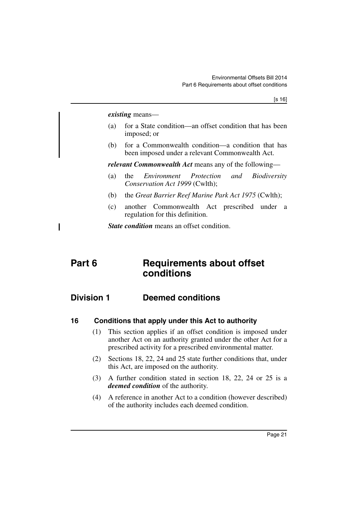#### *existing* means—

I

- (a) for a State condition—an offset condition that has been imposed; or
- (b) for a Commonwealth condition—a condition that has been imposed under a relevant Commonwealth Act.

*relevant Commonwealth Act* means any of the following—

- (a) the *Environment Protection and Biodiversity Conservation Act 1999* (Cwlth);
- (b) the *Great Barrier Reef Marine Park Act 1975* (Cwlth);
- (c) another Commonwealth Act prescribed under a regulation for this definition.

*State condition* means an offset condition.

# <span id="page-22-0"></span>**Part 6 Requirements about offset conditions**

# <span id="page-22-1"></span>**Division 1 Deemed conditions**

#### <span id="page-22-2"></span>**16 Conditions that apply under this Act to authority**

- (1) This section applies if an offset condition is imposed under another Act on an authority granted under the other Act for a prescribed activity for a prescribed environmental matter.
- (2) Sections 18, 22, 24 and 25 state further conditions that, under this Act, are imposed on the authority.
- (3) A further condition stated in section 18, 22, 24 or 25 is a *deemed condition* of the authority.
- (4) A reference in another Act to a condition (however described) of the authority includes each deemed condition.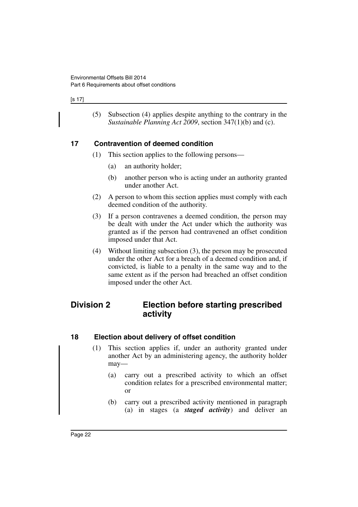#### [s 17]

(5) Subsection (4) applies despite anything to the contrary in the *Sustainable Planning Act 2009*, section 347(1)(b) and (c).

### <span id="page-23-0"></span>**17 Contravention of deemed condition**

- (1) This section applies to the following persons—
	- (a) an authority holder;
	- (b) another person who is acting under an authority granted under another Act.
- (2) A person to whom this section applies must comply with each deemed condition of the authority.
- (3) If a person contravenes a deemed condition, the person may be dealt with under the Act under which the authority was granted as if the person had contravened an offset condition imposed under that Act.
- (4) Without limiting subsection (3), the person may be prosecuted under the other Act for a breach of a deemed condition and, if convicted, is liable to a penalty in the same way and to the same extent as if the person had breached an offset condition imposed under the other Act.

# <span id="page-23-1"></span>**Division 2 Election before starting prescribed activity**

### <span id="page-23-2"></span>**18 Election about delivery of offset condition**

- (1) This section applies if, under an authority granted under another Act by an administering agency, the authority holder may—
	- (a) carry out a prescribed activity to which an offset condition relates for a prescribed environmental matter; or
	- (b) carry out a prescribed activity mentioned in paragraph (a) in stages (a *staged activity*) and deliver an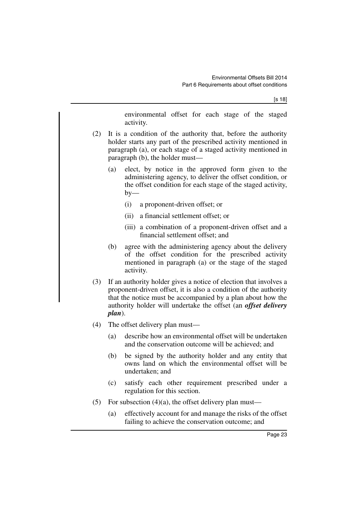[s 18]

environmental offset for each stage of the staged activity.

- (2) It is a condition of the authority that, before the authority holder starts any part of the prescribed activity mentioned in paragraph (a), or each stage of a staged activity mentioned in paragraph (b), the holder must—
	- (a) elect, by notice in the approved form given to the administering agency, to deliver the offset condition, or the offset condition for each stage of the staged activity,  $by-$ 
		- (i) a proponent-driven offset; or
		- (ii) a financial settlement offset; or
		- (iii) a combination of a proponent-driven offset and a financial settlement offset; and
	- (b) agree with the administering agency about the delivery of the offset condition for the prescribed activity mentioned in paragraph (a) or the stage of the staged activity.
- (3) If an authority holder gives a notice of election that involves a proponent-driven offset, it is also a condition of the authority that the notice must be accompanied by a plan about how the authority holder will undertake the offset (an *offset delivery plan*).
- (4) The offset delivery plan must—
	- (a) describe how an environmental offset will be undertaken and the conservation outcome will be achieved; and
	- (b) be signed by the authority holder and any entity that owns land on which the environmental offset will be undertaken; and
	- (c) satisfy each other requirement prescribed under a regulation for this section.
- (5) For subsection  $(4)(a)$ , the offset delivery plan must—
	- (a) effectively account for and manage the risks of the offset failing to achieve the conservation outcome; and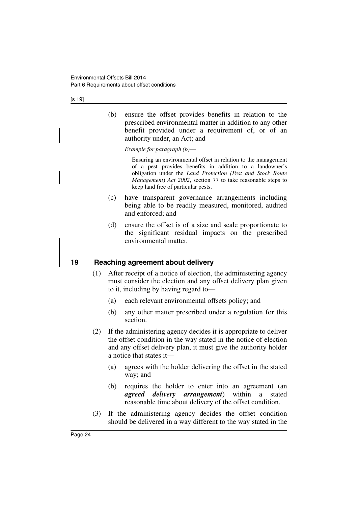[s 19]

(b) ensure the offset provides benefits in relation to the prescribed environmental matter in addition to any other benefit provided under a requirement of, or of an authority under, an Act; and

*Example for paragraph (b)*—

Ensuring an environmental offset in relation to the management of a pest provides benefits in addition to a landowner's obligation under the *Land Protection (Pest and Stock Route Management*) *Act 2002*, section 77 to take reasonable steps to keep land free of particular pests.

- (c) have transparent governance arrangements including being able to be readily measured, monitored, audited and enforced; and
- (d) ensure the offset is of a size and scale proportionate to the significant residual impacts on the prescribed environmental matter.

# <span id="page-25-0"></span>**19 Reaching agreement about delivery**

- (1) After receipt of a notice of election, the administering agency must consider the election and any offset delivery plan given to it, including by having regard to—
	- (a) each relevant environmental offsets policy; and
	- (b) any other matter prescribed under a regulation for this section.
- (2) If the administering agency decides it is appropriate to deliver the offset condition in the way stated in the notice of election and any offset delivery plan, it must give the authority holder a notice that states it—
	- (a) agrees with the holder delivering the offset in the stated way; and
	- (b) requires the holder to enter into an agreement (an *agreed delivery arrangement*) within a stated reasonable time about delivery of the offset condition.
- (3) If the administering agency decides the offset condition should be delivered in a way different to the way stated in the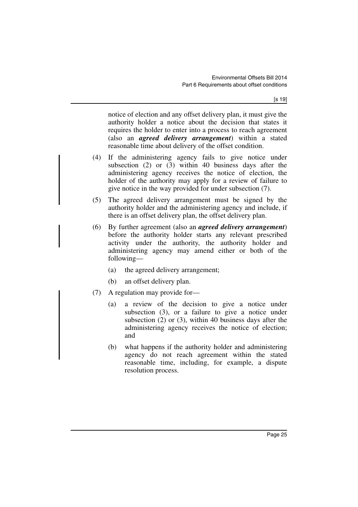[s 19]

notice of election and any offset delivery plan, it must give the authority holder a notice about the decision that states it requires the holder to enter into a process to reach agreement (also an *agreed delivery arrangement*) within a stated reasonable time about delivery of the offset condition.

- (4) If the administering agency fails to give notice under subsection (2) or (3) within 40 business days after the administering agency receives the notice of election, the holder of the authority may apply for a review of failure to give notice in the way provided for under subsection (7).
- (5) The agreed delivery arrangement must be signed by the authority holder and the administering agency and include, if there is an offset delivery plan, the offset delivery plan.
- (6) By further agreement (also an *agreed delivery arrangement*) before the authority holder starts any relevant prescribed activity under the authority, the authority holder and administering agency may amend either or both of the following—
	- (a) the agreed delivery arrangement;
	- (b) an offset delivery plan.
- (7) A regulation may provide for—
	- (a) a review of the decision to give a notice under subsection (3), or a failure to give a notice under subsection (2) or (3), within 40 business days after the administering agency receives the notice of election; and
	- (b) what happens if the authority holder and administering agency do not reach agreement within the stated reasonable time, including, for example, a dispute resolution process.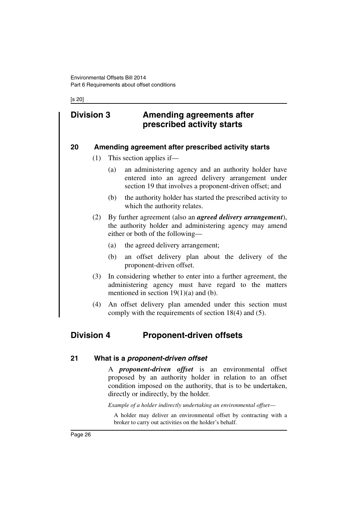[s 20]

# <span id="page-27-0"></span>**Division 3 Amending agreements after prescribed activity starts**

#### <span id="page-27-1"></span>**20 Amending agreement after prescribed activity starts**

- (1) This section applies if—
	- (a) an administering agency and an authority holder have entered into an agreed delivery arrangement under section 19 that involves a proponent-driven offset; and
	- (b) the authority holder has started the prescribed activity to which the authority relates.
- (2) By further agreement (also an *agreed delivery arrangement*), the authority holder and administering agency may amend either or both of the following—
	- (a) the agreed delivery arrangement;
	- (b) an offset delivery plan about the delivery of the proponent-driven offset.
- (3) In considering whether to enter into a further agreement, the administering agency must have regard to the matters mentioned in section  $19(1)(a)$  and (b).
- (4) An offset delivery plan amended under this section must comply with the requirements of section 18(4) and (5).

# <span id="page-27-2"></span>**Division 4 Proponent-driven offsets**

#### <span id="page-27-3"></span>**21 What is a** *proponent-driven offset*

A *proponent-driven offset* is an environmental offset proposed by an authority holder in relation to an offset condition imposed on the authority, that is to be undertaken, directly or indirectly, by the holder.

*Example of a holder indirectly undertaking an environmental offset*—

A holder may deliver an environmental offset by contracting with a broker to carry out activities on the holder's behalf.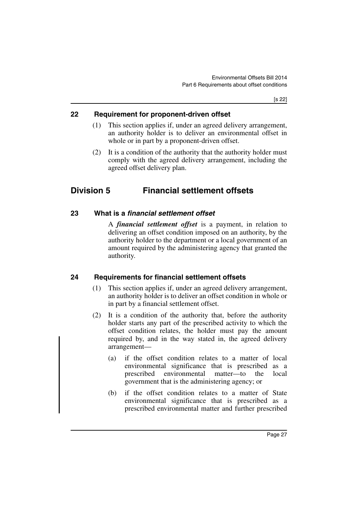[s 22]

## <span id="page-28-0"></span>**22 Requirement for proponent-driven offset**

- (1) This section applies if, under an agreed delivery arrangement, an authority holder is to deliver an environmental offset in whole or in part by a proponent-driven offset.
- (2) It is a condition of the authority that the authority holder must comply with the agreed delivery arrangement, including the agreed offset delivery plan.

# <span id="page-28-1"></span>**Division 5 Financial settlement offsets**

### <span id="page-28-2"></span>**23 What is a** *financial settlement offset*

A *financial settlement offset* is a payment, in relation to delivering an offset condition imposed on an authority, by the authority holder to the department or a local government of an amount required by the administering agency that granted the authority.

### <span id="page-28-3"></span>**24 Requirements for financial settlement offsets**

- (1) This section applies if, under an agreed delivery arrangement, an authority holder is to deliver an offset condition in whole or in part by a financial settlement offset.
- (2) It is a condition of the authority that, before the authority holder starts any part of the prescribed activity to which the offset condition relates, the holder must pay the amount required by, and in the way stated in, the agreed delivery arrangement—
	- (a) if the offset condition relates to a matter of local environmental significance that is prescribed as a prescribed environmental matter—to the local government that is the administering agency; or
	- (b) if the offset condition relates to a matter of State environmental significance that is prescribed as a prescribed environmental matter and further prescribed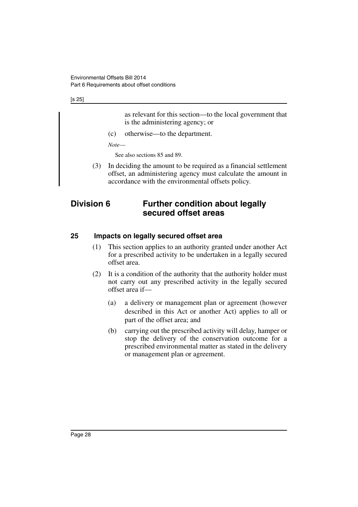[s 25]

as relevant for this section—to the local government that is the administering agency; or

(c) otherwise—to the department.

*Note*—

See also sections 85 and 89.

(3) In deciding the amount to be required as a financial settlement offset, an administering agency must calculate the amount in accordance with the environmental offsets policy.

# <span id="page-29-0"></span>**Division 6 Further condition about legally secured offset areas**

### <span id="page-29-1"></span>**25 Impacts on legally secured offset area**

- (1) This section applies to an authority granted under another Act for a prescribed activity to be undertaken in a legally secured offset area.
- (2) It is a condition of the authority that the authority holder must not carry out any prescribed activity in the legally secured offset area if—
	- (a) a delivery or management plan or agreement (however described in this Act or another Act) applies to all or part of the offset area; and
	- (b) carrying out the prescribed activity will delay, hamper or stop the delivery of the conservation outcome for a prescribed environmental matter as stated in the delivery or management plan or agreement.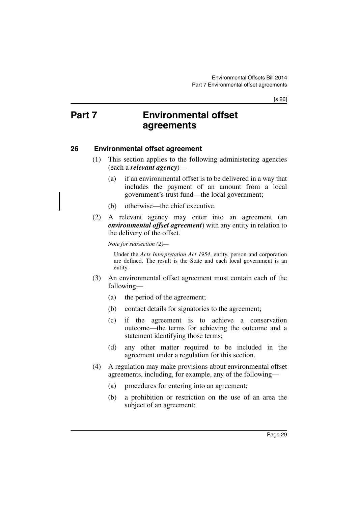[s 26]

# <span id="page-30-0"></span>**Part 7 Environmental offset agreements**

### <span id="page-30-1"></span>**26 Environmental offset agreement**

- (1) This section applies to the following administering agencies (each a *relevant agency*)—
	- (a) if an environmental offset is to be delivered in a way that includes the payment of an amount from a local government's trust fund—the local government;
	- (b) otherwise—the chief executive.
- (2) A relevant agency may enter into an agreement (an *environmental offset agreement*) with any entity in relation to the delivery of the offset.

*Note for subsection (2)—*

Under the *Acts Interpretation Act 1954*, entity, person and corporation are defined. The result is the State and each local government is an entity.

- (3) An environmental offset agreement must contain each of the following—
	- (a) the period of the agreement;
	- (b) contact details for signatories to the agreement;
	- (c) if the agreement is to achieve a conservation outcome—the terms for achieving the outcome and a statement identifying those terms;
	- (d) any other matter required to be included in the agreement under a regulation for this section.
- (4) A regulation may make provisions about environmental offset agreements, including, for example, any of the following—
	- (a) procedures for entering into an agreement;
	- (b) a prohibition or restriction on the use of an area the subject of an agreement;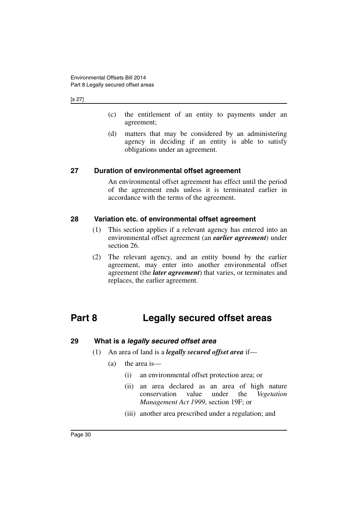#### [s 27]

- (c) the entitlement of an entity to payments under an agreement;
- (d) matters that may be considered by an administering agency in deciding if an entity is able to satisfy obligations under an agreement.

### <span id="page-31-0"></span>**27 Duration of environmental offset agreement**

An environmental offset agreement has effect until the period of the agreement ends unless it is terminated earlier in accordance with the terms of the agreement.

#### <span id="page-31-1"></span>**28 Variation etc. of environmental offset agreement**

- (1) This section applies if a relevant agency has entered into an environmental offset agreement (an *earlier agreement*) under section 26.
- (2) The relevant agency, and an entity bound by the earlier agreement, may enter into another environmental offset agreement (the *later agreement*) that varies, or terminates and replaces, the earlier agreement.

# <span id="page-31-2"></span>**Part 8 Legally secured offset areas**

#### <span id="page-31-3"></span>**29 What is a** *legally secured offset area*

- (1) An area of land is a *legally secured offset area* if—
	- (a) the area is—
		- (i) an environmental offset protection area; or
		- (ii) an area declared as an area of high nature conservation value under the *Vegetation Management Act 1999*, section 19F; or
		- (iii) another area prescribed under a regulation; and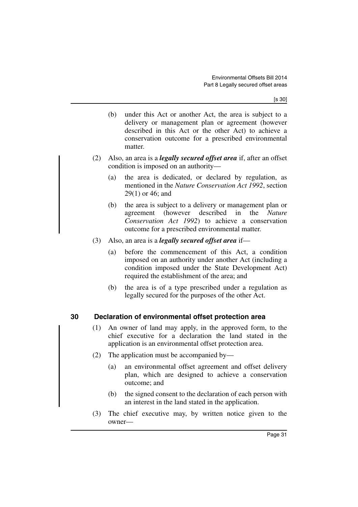[s 30]

- (b) under this Act or another Act, the area is subject to a delivery or management plan or agreement (however described in this Act or the other Act) to achieve a conservation outcome for a prescribed environmental matter.
- (2) Also, an area is a *legally secured offset area* if, after an offset condition is imposed on an authority—
	- (a) the area is dedicated, or declared by regulation, as mentioned in the *Nature Conservation Act 1992*, section 29(1) or 46; and
	- (b) the area is subject to a delivery or management plan or agreement (however described in the *Nature Conservation Act 1992*) to achieve a conservation outcome for a prescribed environmental matter.
- (3) Also, an area is a *legally secured offset area* if—
	- (a) before the commencement of this Act, a condition imposed on an authority under another Act (including a condition imposed under the State Development Act) required the establishment of the area; and
	- (b) the area is of a type prescribed under a regulation as legally secured for the purposes of the other Act.

#### <span id="page-32-0"></span>**30 Declaration of environmental offset protection area**

- (1) An owner of land may apply, in the approved form, to the chief executive for a declaration the land stated in the application is an environmental offset protection area.
- (2) The application must be accompanied by—
	- (a) an environmental offset agreement and offset delivery plan, which are designed to achieve a conservation outcome; and
	- (b) the signed consent to the declaration of each person with an interest in the land stated in the application.
- (3) The chief executive may, by written notice given to the owner—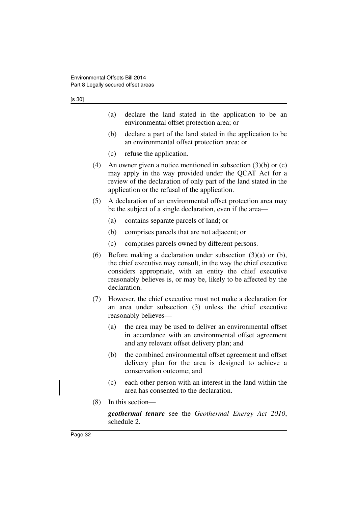#### [s 30]

- (a) declare the land stated in the application to be an environmental offset protection area; or
- (b) declare a part of the land stated in the application to be an environmental offset protection area; or
- (c) refuse the application.
- (4) An owner given a notice mentioned in subsection  $(3)(b)$  or  $(c)$ may apply in the way provided under the QCAT Act for a review of the declaration of only part of the land stated in the application or the refusal of the application.
- (5) A declaration of an environmental offset protection area may be the subject of a single declaration, even if the area—
	- (a) contains separate parcels of land; or
	- (b) comprises parcels that are not adjacent; or
	- (c) comprises parcels owned by different persons.
- (6) Before making a declaration under subsection (3)(a) or (b), the chief executive may consult, in the way the chief executive considers appropriate, with an entity the chief executive reasonably believes is, or may be, likely to be affected by the declaration.
- (7) However, the chief executive must not make a declaration for an area under subsection (3) unless the chief executive reasonably believes—
	- (a) the area may be used to deliver an environmental offset in accordance with an environmental offset agreement and any relevant offset delivery plan; and
	- (b) the combined environmental offset agreement and offset delivery plan for the area is designed to achieve a conservation outcome; and
	- (c) each other person with an interest in the land within the area has consented to the declaration.
- (8) In this section—

*geothermal tenure* see the *Geothermal Energy Act 2010*, schedule 2.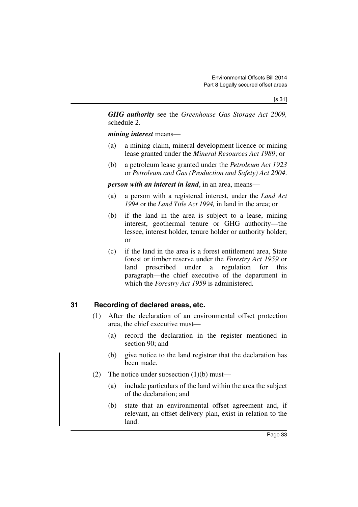*GHG authority* see the *Greenhouse Gas Storage Act 2009,* schedule 2.

*mining interest* means—

- (a) a mining claim, mineral development licence or mining lease granted under the *Mineral Resources Act 1989*; or
- (b) a petroleum lease granted under the *Petroleum Act 1923* or *Petroleum and Gas (Production and Safety) Act 2004*.

*person with an interest in land*, in an area, means—

- (a) a person with a registered interest, under the *Land Act 1994* or the *Land Title Act 1994,* in land in the area; or
- (b) if the land in the area is subject to a lease, mining interest, geothermal tenure or GHG authority—the lessee, interest holder, tenure holder or authority holder; or
- (c) if the land in the area is a forest entitlement area, State forest or timber reserve under the *Forestry Act 1959* or land prescribed under a regulation for this paragraph—the chief executive of the department in which the *Forestry Act 1959* is administered*.*

# <span id="page-34-0"></span>**31 Recording of declared areas, etc.**

- (1) After the declaration of an environmental offset protection area, the chief executive must—
	- (a) record the declaration in the register mentioned in section 90; and
	- (b) give notice to the land registrar that the declaration has been made.
- (2) The notice under subsection  $(1)(b)$  must—
	- (a) include particulars of the land within the area the subject of the declaration; and
	- (b) state that an environmental offset agreement and, if relevant, an offset delivery plan, exist in relation to the land.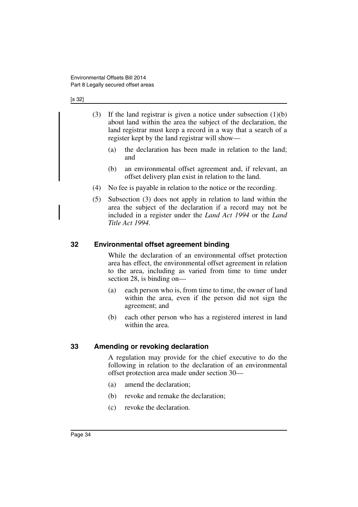#### [s 32]

- (3) If the land registrar is given a notice under subsection (1)(b) about land within the area the subject of the declaration, the land registrar must keep a record in a way that a search of a register kept by the land registrar will show—
	- (a) the declaration has been made in relation to the land; and
	- (b) an environmental offset agreement and, if relevant, an offset delivery plan exist in relation to the land.
- (4) No fee is payable in relation to the notice or the recording.
- (5) Subsection (3) does not apply in relation to land within the area the subject of the declaration if a record may not be included in a register under the *Land Act 1994* or the *Land Title Act 1994*.

#### <span id="page-35-0"></span>**32 Environmental offset agreement binding**

While the declaration of an environmental offset protection area has effect, the environmental offset agreement in relation to the area, including as varied from time to time under section 28, is binding on—

- (a) each person who is, from time to time, the owner of land within the area, even if the person did not sign the agreement; and
- (b) each other person who has a registered interest in land within the area.

#### <span id="page-35-1"></span>**33 Amending or revoking declaration**

A regulation may provide for the chief executive to do the following in relation to the declaration of an environmental offset protection area made under section 30—

- (a) amend the declaration;
- (b) revoke and remake the declaration;
- (c) revoke the declaration.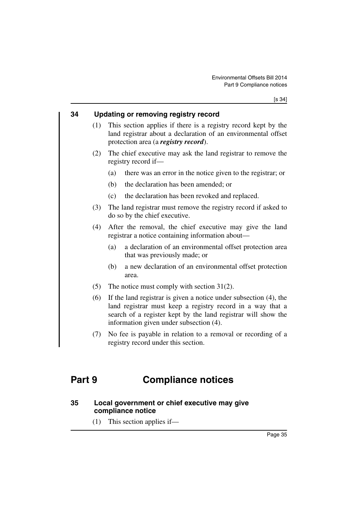#### **34 Updating or removing registry record**

- (1) This section applies if there is a registry record kept by the land registrar about a declaration of an environmental offset protection area (a *registry record*).
- (2) The chief executive may ask the land registrar to remove the registry record if—
	- (a) there was an error in the notice given to the registrar; or
	- (b) the declaration has been amended; or
	- (c) the declaration has been revoked and replaced.
- (3) The land registrar must remove the registry record if asked to do so by the chief executive.
- (4) After the removal, the chief executive may give the land registrar a notice containing information about—
	- (a) a declaration of an environmental offset protection area that was previously made; or
	- (b) a new declaration of an environmental offset protection area.
- (5) The notice must comply with section 31(2).
- (6) If the land registrar is given a notice under subsection (4), the land registrar must keep a registry record in a way that a search of a register kept by the land registrar will show the information given under subsection (4).
- (7) No fee is payable in relation to a removal or recording of a registry record under this section.

# **Part 9 Compliance notices**

#### **35 Local government or chief executive may give compliance notice**

(1) This section applies if—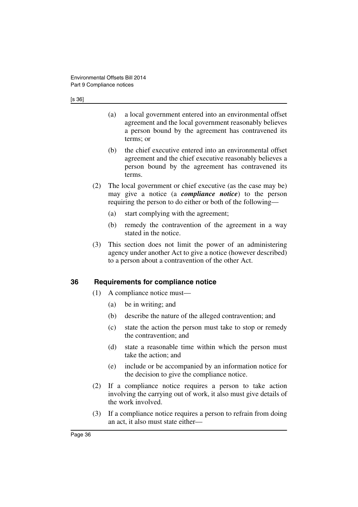- (a) a local government entered into an environmental offset agreement and the local government reasonably believes a person bound by the agreement has contravened its terms; or
- (b) the chief executive entered into an environmental offset agreement and the chief executive reasonably believes a person bound by the agreement has contravened its terms.
- (2) The local government or chief executive (as the case may be) may give a notice (a *compliance notice*) to the person requiring the person to do either or both of the following—
	- (a) start complying with the agreement;
	- (b) remedy the contravention of the agreement in a way stated in the notice.
- (3) This section does not limit the power of an administering agency under another Act to give a notice (however described) to a person about a contravention of the other Act.

## **36 Requirements for compliance notice**

- (1) A compliance notice must—
	- (a) be in writing; and
	- (b) describe the nature of the alleged contravention; and
	- (c) state the action the person must take to stop or remedy the contravention; and
	- (d) state a reasonable time within which the person must take the action; and
	- (e) include or be accompanied by an information notice for the decision to give the compliance notice.
- (2) If a compliance notice requires a person to take action involving the carrying out of work, it also must give details of the work involved.
- (3) If a compliance notice requires a person to refrain from doing an act, it also must state either—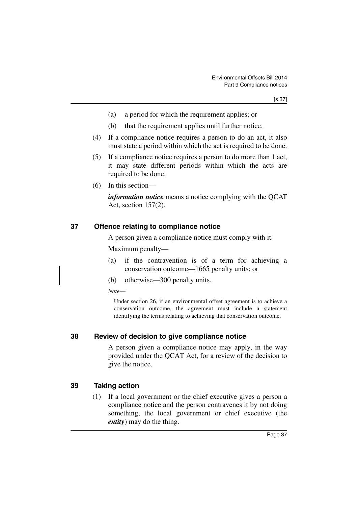- (a) a period for which the requirement applies; or
- (b) that the requirement applies until further notice.
- (4) If a compliance notice requires a person to do an act, it also must state a period within which the act is required to be done.
- (5) If a compliance notice requires a person to do more than 1 act, it may state different periods within which the acts are required to be done.
- (6) In this section—

*information notice* means a notice complying with the QCAT Act, section 157(2).

#### **37 Offence relating to compliance notice**

A person given a compliance notice must comply with it.

Maximum penalty—

- (a) if the contravention is of a term for achieving a conservation outcome—1665 penalty units; or
- (b) otherwise—300 penalty units.

*Note*—

Under section 26, if an environmental offset agreement is to achieve a conservation outcome, the agreement must include a statement identifying the terms relating to achieving that conservation outcome.

#### **38 Review of decision to give compliance notice**

A person given a compliance notice may apply, in the way provided under the QCAT Act, for a review of the decision to give the notice.

## **39 Taking action**

(1) If a local government or the chief executive gives a person a compliance notice and the person contravenes it by not doing something, the local government or chief executive (the *entity*) may do the thing.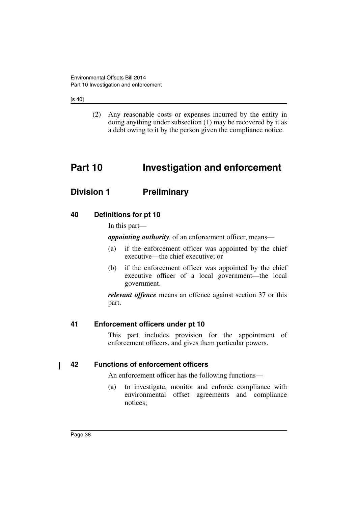[s 40]

(2) Any reasonable costs or expenses incurred by the entity in doing anything under subsection (1) may be recovered by it as a debt owing to it by the person given the compliance notice.

# **Part 10 Investigation and enforcement**

# **Division 1 Preliminary**

## **40 Definitions for pt 10**

In this part—

*appointing authority*, of an enforcement officer, means—

- (a) if the enforcement officer was appointed by the chief executive—the chief executive; or
- (b) if the enforcement officer was appointed by the chief executive officer of a local government—the local government.

*relevant offence* means an offence against section 37 or this part.

## **41 Enforcement officers under pt 10**

This part includes provision for the appointment of enforcement officers, and gives them particular powers.

## **42 Functions of enforcement officers**

An enforcement officer has the following functions—

(a) to investigate, monitor and enforce compliance with environmental offset agreements and compliance notices;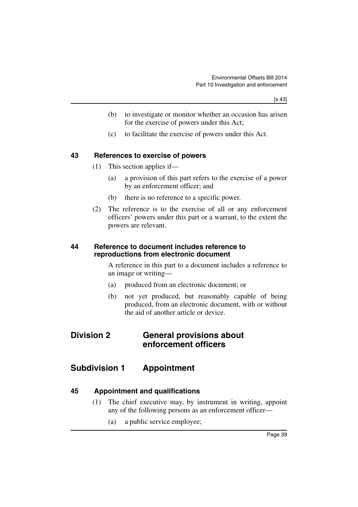- (b) to investigate or monitor whether an occasion has arisen for the exercise of powers under this Act;
- (c) to facilitate the exercise of powers under this Act.

#### **43 References to exercise of powers**

- (1) This section applies if—
	- (a) a provision of this part refers to the exercise of a power by an enforcement officer; and
	- (b) there is no reference to a specific power.
- (2) The reference is to the exercise of all or any enforcement officers' powers under this part or a warrant, to the extent the powers are relevant.

#### **44 Reference to document includes reference to reproductions from electronic document**

A reference in this part to a document includes a reference to an image or writing—

- (a) produced from an electronic document; or
- (b) not yet produced, but reasonably capable of being produced, from an electronic document, with or without the aid of another article or device.

## **Division 2 General provisions about enforcement officers**

## **Subdivision 1 Appointment**

#### **45 Appointment and qualifications**

- (1) The chief executive may, by instrument in writing, appoint any of the following persons as an enforcement officer—
	- (a) a public service employee;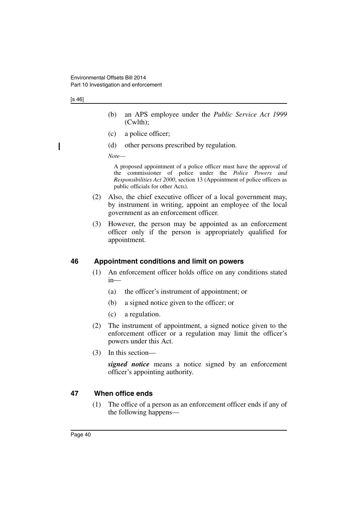[s 46]

I

- (b) an APS employee under the *Public Service Act 1999* (Cwlth);
- (c) a police officer;
- (d) other persons prescribed by regulation.

*Note*—

A proposed appointment of a police officer must have the approval of the commissioner of police under the *Police Powers and Responsibilities Act 2000*, section 13 (Appointment of police officers as public officials for other Acts).

- (2) Also, the chief executive officer of a local government may, by instrument in writing, appoint an employee of the local government as an enforcement officer.
- (3) However, the person may be appointed as an enforcement officer only if the person is appropriately qualified for appointment.

## **46 Appointment conditions and limit on powers**

- (1) An enforcement officer holds office on any conditions stated in—
	- (a) the officer's instrument of appointment; or
	- (b) a signed notice given to the officer; or
	- (c) a regulation.
- (2) The instrument of appointment, a signed notice given to the enforcement officer or a regulation may limit the officer's powers under this Act.
- (3) In this section—

*signed notice* means a notice signed by an enforcement officer's appointing authority.

#### **47 When office ends**

(1) The office of a person as an enforcement officer ends if any of the following happens—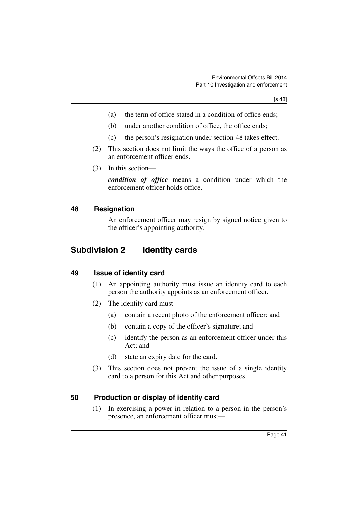- (a) the term of office stated in a condition of office ends;
- (b) under another condition of office, the office ends;
- (c) the person's resignation under section 48 takes effect.
- (2) This section does not limit the ways the office of a person as an enforcement officer ends.
- (3) In this section—

*condition of office* means a condition under which the enforcement officer holds office.

#### **48 Resignation**

An enforcement officer may resign by signed notice given to the officer's appointing authority.

## **Subdivision 2 Identity cards**

#### **49 Issue of identity card**

- (1) An appointing authority must issue an identity card to each person the authority appoints as an enforcement officer.
- (2) The identity card must—
	- (a) contain a recent photo of the enforcement officer; and
	- (b) contain a copy of the officer's signature; and
	- (c) identify the person as an enforcement officer under this Act; and
	- (d) state an expiry date for the card.
- (3) This section does not prevent the issue of a single identity card to a person for this Act and other purposes.

## **50 Production or display of identity card**

(1) In exercising a power in relation to a person in the person's presence, an enforcement officer must—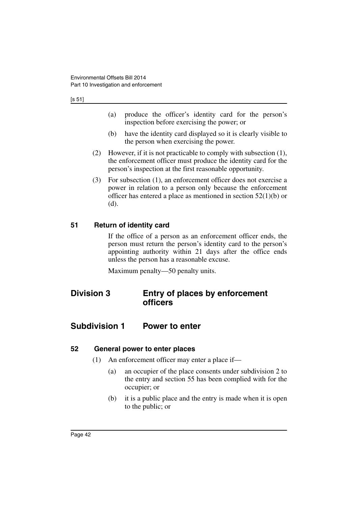#### [s 51]

- (a) produce the officer's identity card for the person's inspection before exercising the power; or
- (b) have the identity card displayed so it is clearly visible to the person when exercising the power.
- (2) However, if it is not practicable to comply with subsection (1), the enforcement officer must produce the identity card for the person's inspection at the first reasonable opportunity.
- (3) For subsection (1), an enforcement officer does not exercise a power in relation to a person only because the enforcement officer has entered a place as mentioned in section 52(1)(b) or (d).

## **51 Return of identity card**

If the office of a person as an enforcement officer ends, the person must return the person's identity card to the person's appointing authority within 21 days after the office ends unless the person has a reasonable excuse.

Maximum penalty—50 penalty units.

# **Division 3 Entry of places by enforcement officers**

## **Subdivision 1 Power to enter**

#### **52 General power to enter places**

- (1) An enforcement officer may enter a place if—
	- (a) an occupier of the place consents under subdivision 2 to the entry and section 55 has been complied with for the occupier; or
	- (b) it is a public place and the entry is made when it is open to the public; or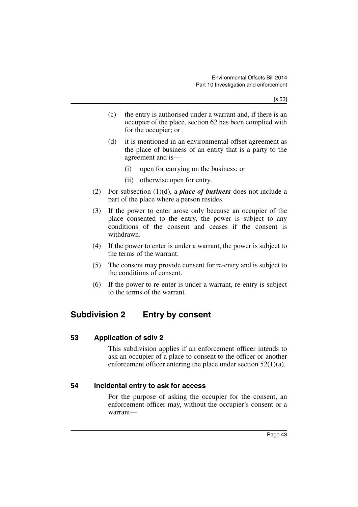- (c) the entry is authorised under a warrant and, if there is an occupier of the place, section 62 has been complied with for the occupier; or
- (d) it is mentioned in an environmental offset agreement as the place of business of an entity that is a party to the agreement and is—
	- (i) open for carrying on the business; or
	- (ii) otherwise open for entry.
- (2) For subsection (1)(d), a *place of business* does not include a part of the place where a person resides.
- (3) If the power to enter arose only because an occupier of the place consented to the entry, the power is subject to any conditions of the consent and ceases if the consent is withdrawn.
- (4) If the power to enter is under a warrant, the power is subject to the terms of the warrant.
- (5) The consent may provide consent for re-entry and is subject to the conditions of consent.
- (6) If the power to re-enter is under a warrant, re-entry is subject to the terms of the warrant.

## **Subdivision 2 Entry by consent**

#### **53 Application of sdiv 2**

This subdivision applies if an enforcement officer intends to ask an occupier of a place to consent to the officer or another enforcement officer entering the place under section  $52(1)(a)$ .

#### **54 Incidental entry to ask for access**

For the purpose of asking the occupier for the consent, an enforcement officer may, without the occupier's consent or a warrant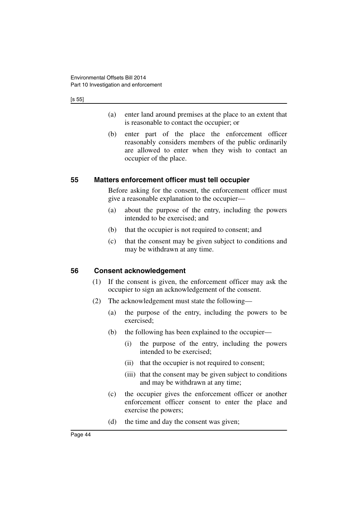[s 55]

- (a) enter land around premises at the place to an extent that is reasonable to contact the occupier; or
- (b) enter part of the place the enforcement officer reasonably considers members of the public ordinarily are allowed to enter when they wish to contact an occupier of the place.

#### **55 Matters enforcement officer must tell occupier**

Before asking for the consent, the enforcement officer must give a reasonable explanation to the occupier—

- (a) about the purpose of the entry, including the powers intended to be exercised; and
- (b) that the occupier is not required to consent; and
- (c) that the consent may be given subject to conditions and may be withdrawn at any time.

## **56 Consent acknowledgement**

- (1) If the consent is given, the enforcement officer may ask the occupier to sign an acknowledgement of the consent.
- (2) The acknowledgement must state the following—
	- (a) the purpose of the entry, including the powers to be exercised;
	- (b) the following has been explained to the occupier—
		- (i) the purpose of the entry, including the powers intended to be exercised;
		- (ii) that the occupier is not required to consent;
		- (iii) that the consent may be given subject to conditions and may be withdrawn at any time;
	- (c) the occupier gives the enforcement officer or another enforcement officer consent to enter the place and exercise the powers;
	- (d) the time and day the consent was given;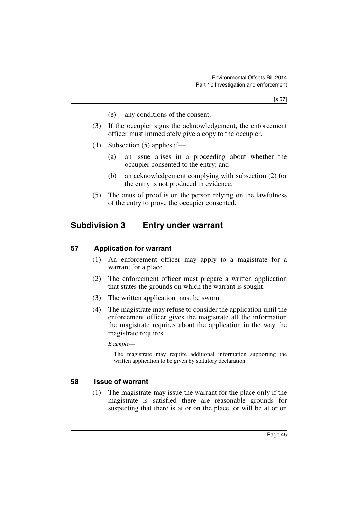- (e) any conditions of the consent.
- (3) If the occupier signs the acknowledgement, the enforcement officer must immediately give a copy to the occupier.
- (4) Subsection (5) applies if—
	- (a) an issue arises in a proceeding about whether the occupier consented to the entry; and
	- (b) an acknowledgement complying with subsection (2) for the entry is not produced in evidence.
- (5) The onus of proof is on the person relying on the lawfulness of the entry to prove the occupier consented.

## **Subdivision 3 Entry under warrant**

#### **57 Application for warrant**

- (1) An enforcement officer may apply to a magistrate for a warrant for a place.
- (2) The enforcement officer must prepare a written application that states the grounds on which the warrant is sought.
- (3) The written application must be sworn.
- (4) The magistrate may refuse to consider the application until the enforcement officer gives the magistrate all the information the magistrate requires about the application in the way the magistrate requires.

*Example*—

The magistrate may require additional information supporting the written application to be given by statutory declaration.

#### **58 Issue of warrant**

(1) The magistrate may issue the warrant for the place only if the magistrate is satisfied there are reasonable grounds for suspecting that there is at or on the place, or will be at or on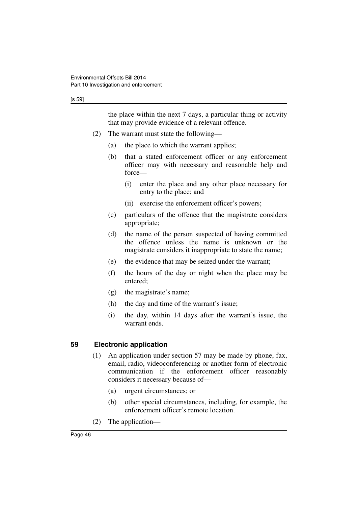#### [s 59]

the place within the next 7 days, a particular thing or activity that may provide evidence of a relevant offence.

- (2) The warrant must state the following—
	- (a) the place to which the warrant applies;
	- (b) that a stated enforcement officer or any enforcement officer may with necessary and reasonable help and force—
		- (i) enter the place and any other place necessary for entry to the place; and
		- (ii) exercise the enforcement officer's powers;
	- (c) particulars of the offence that the magistrate considers appropriate;
	- (d) the name of the person suspected of having committed the offence unless the name is unknown or the magistrate considers it inappropriate to state the name;
	- (e) the evidence that may be seized under the warrant;
	- (f) the hours of the day or night when the place may be entered;
	- (g) the magistrate's name;
	- (h) the day and time of the warrant's issue;
	- (i) the day, within 14 days after the warrant's issue, the warrant ends.

## **59 Electronic application**

- (1) An application under section 57 may be made by phone, fax, email, radio, videoconferencing or another form of electronic communication if the enforcement officer reasonably considers it necessary because of—
	- (a) urgent circumstances; or
	- (b) other special circumstances, including, for example, the enforcement officer's remote location.
- (2) The application—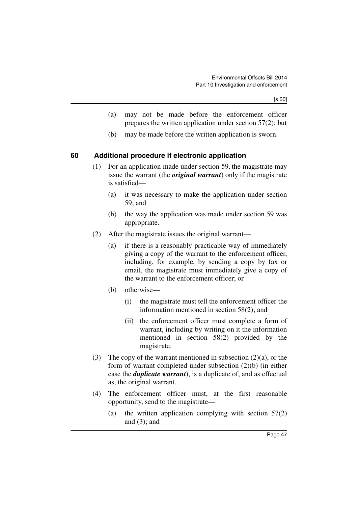- (a) may not be made before the enforcement officer prepares the written application under section 57(2); but
- (b) may be made before the written application is sworn.

## **60 Additional procedure if electronic application**

- (1) For an application made under section 59, the magistrate may issue the warrant (the *original warrant*) only if the magistrate is satisfied—
	- (a) it was necessary to make the application under section 59; and
	- (b) the way the application was made under section 59 was appropriate.
- (2) After the magistrate issues the original warrant—
	- (a) if there is a reasonably practicable way of immediately giving a copy of the warrant to the enforcement officer, including, for example, by sending a copy by fax or email, the magistrate must immediately give a copy of the warrant to the enforcement officer; or
	- (b) otherwise—
		- (i) the magistrate must tell the enforcement officer the information mentioned in section 58(2); and
		- (ii) the enforcement officer must complete a form of warrant, including by writing on it the information mentioned in section 58(2) provided by the magistrate.
- (3) The copy of the warrant mentioned in subsection  $(2)(a)$ , or the form of warrant completed under subsection (2)(b) (in either case the *duplicate warrant*), is a duplicate of, and as effectual as, the original warrant.
- (4) The enforcement officer must, at the first reasonable opportunity, send to the magistrate—
	- (a) the written application complying with section 57(2) and  $(3)$ ; and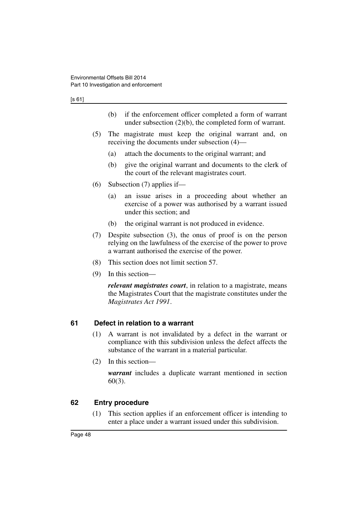#### [s 61]

- (b) if the enforcement officer completed a form of warrant under subsection (2)(b), the completed form of warrant.
- (5) The magistrate must keep the original warrant and, on receiving the documents under subsection (4)—
	- (a) attach the documents to the original warrant; and
	- (b) give the original warrant and documents to the clerk of the court of the relevant magistrates court.
- (6) Subsection (7) applies if—
	- (a) an issue arises in a proceeding about whether an exercise of a power was authorised by a warrant issued under this section; and
	- (b) the original warrant is not produced in evidence.
- (7) Despite subsection (3), the onus of proof is on the person relying on the lawfulness of the exercise of the power to prove a warrant authorised the exercise of the power.
- (8) This section does not limit section 57.
- (9) In this section—

*relevant magistrates court*, in relation to a magistrate, means the Magistrates Court that the magistrate constitutes under the *Magistrates Act 1991*.

#### **61 Defect in relation to a warrant**

- (1) A warrant is not invalidated by a defect in the warrant or compliance with this subdivision unless the defect affects the substance of the warrant in a material particular.
- (2) In this section—

*warrant* includes a duplicate warrant mentioned in section 60(3).

#### **62 Entry procedure**

(1) This section applies if an enforcement officer is intending to enter a place under a warrant issued under this subdivision.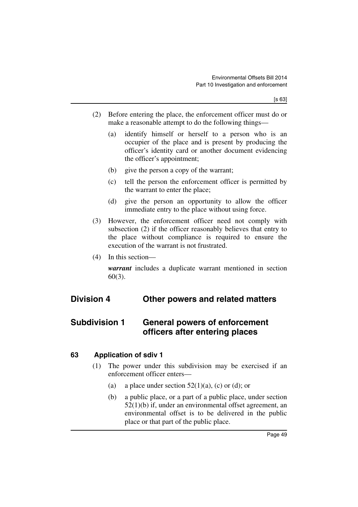- (2) Before entering the place, the enforcement officer must do or make a reasonable attempt to do the following things—
	- (a) identify himself or herself to a person who is an occupier of the place and is present by producing the officer's identity card or another document evidencing the officer's appointment;
	- (b) give the person a copy of the warrant;
	- (c) tell the person the enforcement officer is permitted by the warrant to enter the place;
	- (d) give the person an opportunity to allow the officer immediate entry to the place without using force.
- (3) However, the enforcement officer need not comply with subsection (2) if the officer reasonably believes that entry to the place without compliance is required to ensure the execution of the warrant is not frustrated.
- (4) In this section—

*warrant* includes a duplicate warrant mentioned in section 60(3).

# **Division 4 Other powers and related matters**

## **Subdivision 1 General powers of enforcement officers after entering places**

#### **63 Application of sdiv 1**

- (1) The power under this subdivision may be exercised if an enforcement officer enters—
	- (a) a place under section  $52(1)(a)$ , (c) or (d); or
	- (b) a public place, or a part of a public place, under section 52(1)(b) if, under an environmental offset agreement, an environmental offset is to be delivered in the public place or that part of the public place.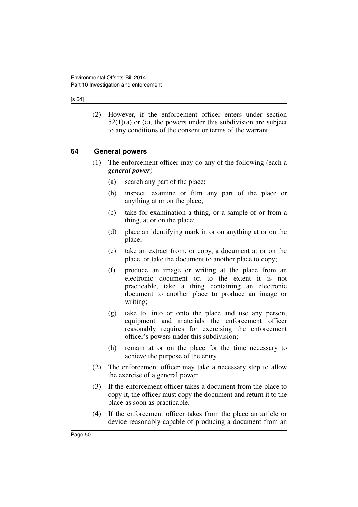#### [s 64]

(2) However, if the enforcement officer enters under section  $52(1)(a)$  or (c), the powers under this subdivision are subject to any conditions of the consent or terms of the warrant.

## **64 General powers**

- (1) The enforcement officer may do any of the following (each a *general power*)—
	- (a) search any part of the place;
	- (b) inspect, examine or film any part of the place or anything at or on the place;
	- (c) take for examination a thing, or a sample of or from a thing, at or on the place;
	- (d) place an identifying mark in or on anything at or on the place;
	- (e) take an extract from, or copy, a document at or on the place, or take the document to another place to copy;
	- (f) produce an image or writing at the place from an electronic document or, to the extent it is not practicable, take a thing containing an electronic document to another place to produce an image or writing;
	- (g) take to, into or onto the place and use any person, equipment and materials the enforcement officer reasonably requires for exercising the enforcement officer's powers under this subdivision;
	- (h) remain at or on the place for the time necessary to achieve the purpose of the entry.
- (2) The enforcement officer may take a necessary step to allow the exercise of a general power.
- (3) If the enforcement officer takes a document from the place to copy it, the officer must copy the document and return it to the place as soon as practicable.
- (4) If the enforcement officer takes from the place an article or device reasonably capable of producing a document from an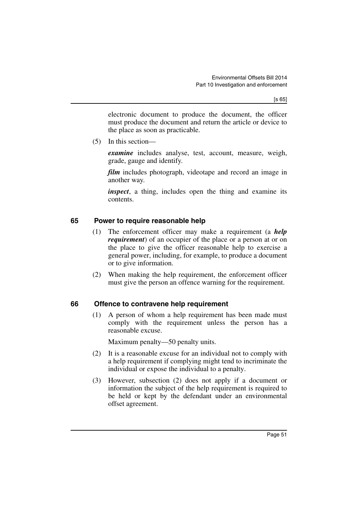electronic document to produce the document, the officer must produce the document and return the article or device to the place as soon as practicable.

(5) In this section—

*examine* includes analyse, test, account, measure, weigh, grade, gauge and identify.

*film* includes photograph, videotape and record an image in another way.

*inspect*, a thing, includes open the thing and examine its contents.

#### **65 Power to require reasonable help**

- (1) The enforcement officer may make a requirement (a *help requirement*) of an occupier of the place or a person at or on the place to give the officer reasonable help to exercise a general power, including, for example, to produce a document or to give information.
- (2) When making the help requirement, the enforcement officer must give the person an offence warning for the requirement.

#### **66 Offence to contravene help requirement**

(1) A person of whom a help requirement has been made must comply with the requirement unless the person has a reasonable excuse.

Maximum penalty—50 penalty units.

- (2) It is a reasonable excuse for an individual not to comply with a help requirement if complying might tend to incriminate the individual or expose the individual to a penalty.
- (3) However, subsection (2) does not apply if a document or information the subject of the help requirement is required to be held or kept by the defendant under an environmental offset agreement.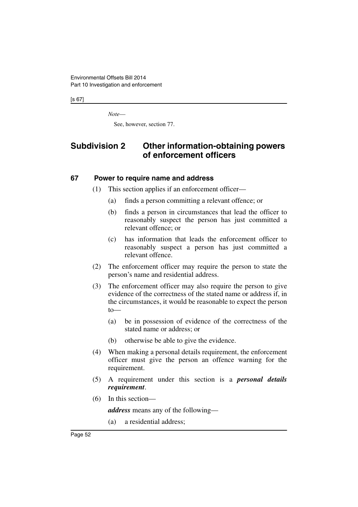[s 67]

*Note*—

See, however, section 77.

## **Subdivision 2 Other information-obtaining powers of enforcement officers**

#### **67 Power to require name and address**

- (1) This section applies if an enforcement officer—
	- (a) finds a person committing a relevant offence; or
	- (b) finds a person in circumstances that lead the officer to reasonably suspect the person has just committed a relevant offence; or
	- (c) has information that leads the enforcement officer to reasonably suspect a person has just committed a relevant offence.
- (2) The enforcement officer may require the person to state the person's name and residential address.
- (3) The enforcement officer may also require the person to give evidence of the correctness of the stated name or address if, in the circumstances, it would be reasonable to expect the person to—
	- (a) be in possession of evidence of the correctness of the stated name or address; or
	- (b) otherwise be able to give the evidence.
- (4) When making a personal details requirement, the enforcement officer must give the person an offence warning for the requirement.
- (5) A requirement under this section is a *personal details requirement*.
- (6) In this section—

*address* means any of the following—

(a) a residential address;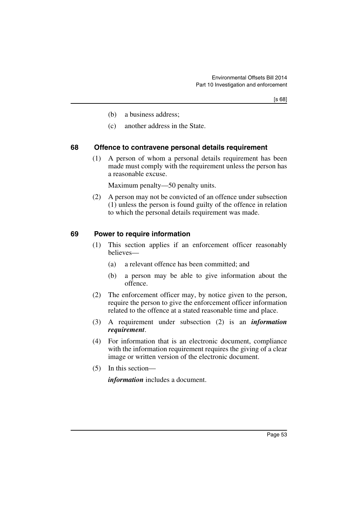- (b) a business address;
- (c) another address in the State.

#### **68 Offence to contravene personal details requirement**

(1) A person of whom a personal details requirement has been made must comply with the requirement unless the person has a reasonable excuse.

Maximum penalty—50 penalty units.

(2) A person may not be convicted of an offence under subsection (1) unless the person is found guilty of the offence in relation to which the personal details requirement was made.

#### **69 Power to require information**

- (1) This section applies if an enforcement officer reasonably believes—
	- (a) a relevant offence has been committed; and
	- (b) a person may be able to give information about the offence.
- (2) The enforcement officer may, by notice given to the person, require the person to give the enforcement officer information related to the offence at a stated reasonable time and place.
- (3) A requirement under subsection (2) is an *information requirement*.
- (4) For information that is an electronic document, compliance with the information requirement requires the giving of a clear image or written version of the electronic document.
- (5) In this section—

*information* includes a document.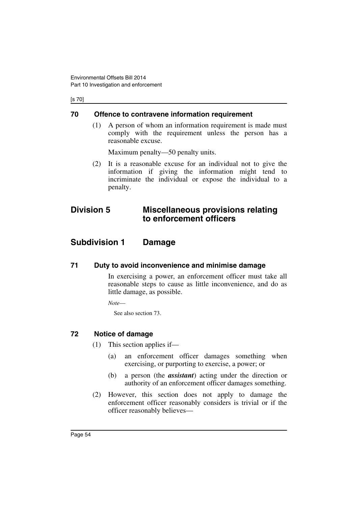[s 70]

#### **70 Offence to contravene information requirement**

(1) A person of whom an information requirement is made must comply with the requirement unless the person has a reasonable excuse.

Maximum penalty—50 penalty units.

(2) It is a reasonable excuse for an individual not to give the information if giving the information might tend to incriminate the individual or expose the individual to a penalty.

# **Division 5 Miscellaneous provisions relating to enforcement officers**

# **Subdivision 1 Damage**

## **71 Duty to avoid inconvenience and minimise damage**

In exercising a power, an enforcement officer must take all reasonable steps to cause as little inconvenience, and do as little damage, as possible.

*Note*—

See also section 73.

#### **72 Notice of damage**

- (1) This section applies if—
	- (a) an enforcement officer damages something when exercising, or purporting to exercise, a power; or
	- (b) a person (the *assistant*) acting under the direction or authority of an enforcement officer damages something.
- (2) However, this section does not apply to damage the enforcement officer reasonably considers is trivial or if the officer reasonably believes—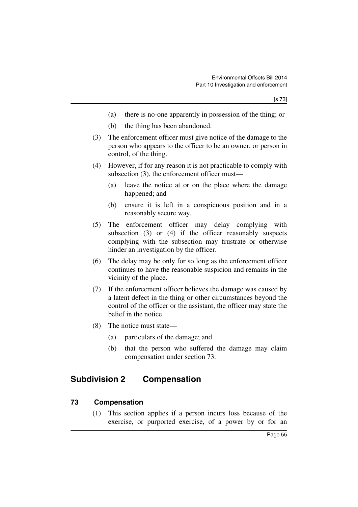- (a) there is no-one apparently in possession of the thing; or
- (b) the thing has been abandoned.
- (3) The enforcement officer must give notice of the damage to the person who appears to the officer to be an owner, or person in control, of the thing.
- (4) However, if for any reason it is not practicable to comply with subsection (3), the enforcement officer must—
	- (a) leave the notice at or on the place where the damage happened; and
	- (b) ensure it is left in a conspicuous position and in a reasonably secure way.
- (5) The enforcement officer may delay complying with subsection (3) or (4) if the officer reasonably suspects complying with the subsection may frustrate or otherwise hinder an investigation by the officer.
- (6) The delay may be only for so long as the enforcement officer continues to have the reasonable suspicion and remains in the vicinity of the place.
- (7) If the enforcement officer believes the damage was caused by a latent defect in the thing or other circumstances beyond the control of the officer or the assistant, the officer may state the belief in the notice.
- (8) The notice must state—
	- (a) particulars of the damage; and
	- (b) that the person who suffered the damage may claim compensation under section 73.

## **Subdivision 2 Compensation**

#### **73 Compensation**

(1) This section applies if a person incurs loss because of the exercise, or purported exercise, of a power by or for an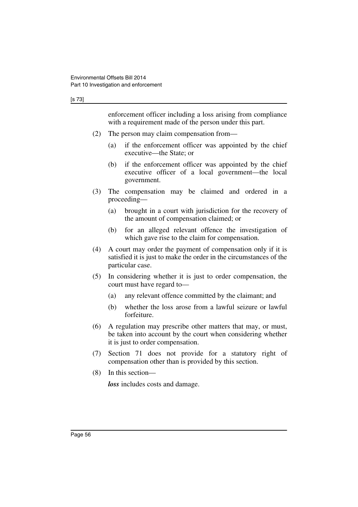#### [s 73]

enforcement officer including a loss arising from compliance with a requirement made of the person under this part.

- (2) The person may claim compensation from—
	- (a) if the enforcement officer was appointed by the chief executive—the State; or
	- (b) if the enforcement officer was appointed by the chief executive officer of a local government—the local government.
- (3) The compensation may be claimed and ordered in a proceeding—
	- (a) brought in a court with jurisdiction for the recovery of the amount of compensation claimed; or
	- (b) for an alleged relevant offence the investigation of which gave rise to the claim for compensation.
- (4) A court may order the payment of compensation only if it is satisfied it is just to make the order in the circumstances of the particular case.
- (5) In considering whether it is just to order compensation, the court must have regard to—
	- (a) any relevant offence committed by the claimant; and
	- (b) whether the loss arose from a lawful seizure or lawful forfeiture.
- (6) A regulation may prescribe other matters that may, or must, be taken into account by the court when considering whether it is just to order compensation.
- (7) Section 71 does not provide for a statutory right of compensation other than is provided by this section.
- (8) In this section—

*loss* includes costs and damage.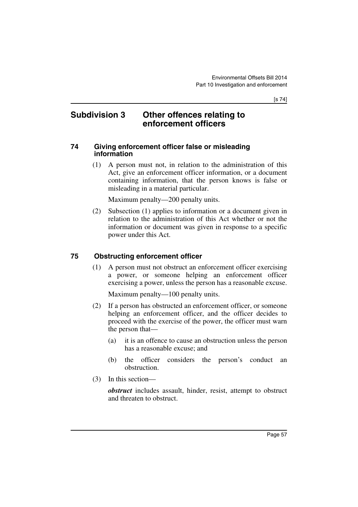[s 74]

## **Subdivision 3 Other offences relating to enforcement officers**

#### **74 Giving enforcement officer false or misleading information**

(1) A person must not, in relation to the administration of this Act, give an enforcement officer information, or a document containing information, that the person knows is false or misleading in a material particular.

Maximum penalty—200 penalty units.

(2) Subsection (1) applies to information or a document given in relation to the administration of this Act whether or not the information or document was given in response to a specific power under this Act.

## **75 Obstructing enforcement officer**

(1) A person must not obstruct an enforcement officer exercising a power, or someone helping an enforcement officer exercising a power, unless the person has a reasonable excuse.

Maximum penalty—100 penalty units.

- (2) If a person has obstructed an enforcement officer, or someone helping an enforcement officer, and the officer decides to proceed with the exercise of the power, the officer must warn the person that—
	- (a) it is an offence to cause an obstruction unless the person has a reasonable excuse; and
	- (b) the officer considers the person's conduct an obstruction.
- (3) In this section—

*obstruct* includes assault, hinder, resist, attempt to obstruct and threaten to obstruct.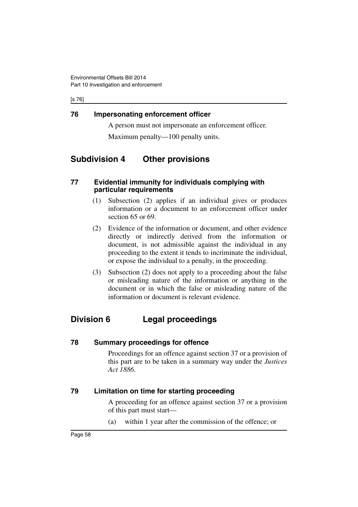[s 76]

#### **76 Impersonating enforcement officer**

A person must not impersonate an enforcement officer. Maximum penalty—100 penalty units.

# **Subdivision 4 Other provisions**

#### **77 Evidential immunity for individuals complying with particular requirements**

- (1) Subsection (2) applies if an individual gives or produces information or a document to an enforcement officer under section 65 or 69.
- (2) Evidence of the information or document, and other evidence directly or indirectly derived from the information or document, is not admissible against the individual in any proceeding to the extent it tends to incriminate the individual, or expose the individual to a penalty, in the proceeding.
- (3) Subsection (2) does not apply to a proceeding about the false or misleading nature of the information or anything in the document or in which the false or misleading nature of the information or document is relevant evidence.

# **Division 6 Legal proceedings**

#### **78 Summary proceedings for offence**

Proceedings for an offence against section 37 or a provision of this part are to be taken in a summary way under the *Justices Act 1886*.

## **79 Limitation on time for starting proceeding**

A proceeding for an offence against section 37 or a provision of this part must start—

(a) within 1 year after the commission of the offence; or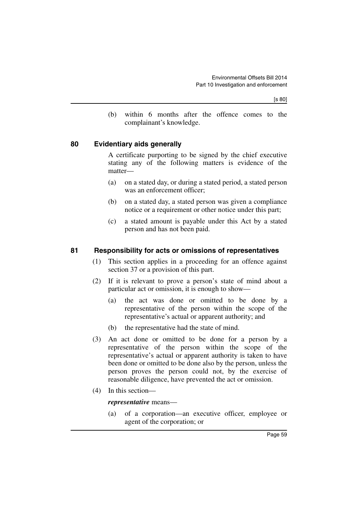(b) within 6 months after the offence comes to the complainant's knowledge.

#### **80 Evidentiary aids generally**

A certificate purporting to be signed by the chief executive stating any of the following matters is evidence of the matter—

- (a) on a stated day, or during a stated period, a stated person was an enforcement officer;
- (b) on a stated day, a stated person was given a compliance notice or a requirement or other notice under this part;
- (c) a stated amount is payable under this Act by a stated person and has not been paid.

#### **81 Responsibility for acts or omissions of representatives**

- (1) This section applies in a proceeding for an offence against section 37 or a provision of this part.
- (2) If it is relevant to prove a person's state of mind about a particular act or omission, it is enough to show—
	- (a) the act was done or omitted to be done by a representative of the person within the scope of the representative's actual or apparent authority; and
	- (b) the representative had the state of mind.
- (3) An act done or omitted to be done for a person by a representative of the person within the scope of the representative's actual or apparent authority is taken to have been done or omitted to be done also by the person, unless the person proves the person could not, by the exercise of reasonable diligence, have prevented the act or omission.
- (4) In this section—

#### *representative* means—

(a) of a corporation—an executive officer, employee or agent of the corporation; or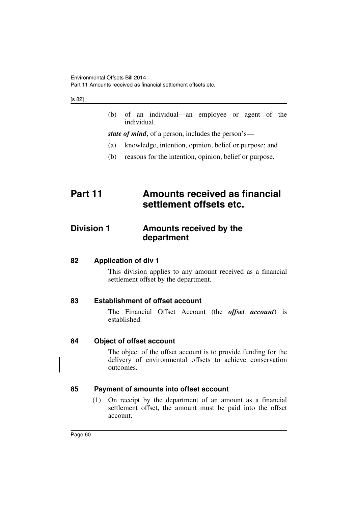Part 11 Amounts received as financial settlement offsets etc.

#### [s 82]

(b) of an individual—an employee or agent of the individual.

*state of mind*, of a person, includes the person's—

- (a) knowledge, intention, opinion, belief or purpose; and
- (b) reasons for the intention, opinion, belief or purpose.

# **Part 11 Amounts received as financial settlement offsets etc.**

## **Division 1** Amounts received by the **department**

#### **82 Application of div 1**

This division applies to any amount received as a financial settlement offset by the department.

#### **83 Establishment of offset account**

The Financial Offset Account (the *offset account*) is established.

#### **84 Object of offset account**

The object of the offset account is to provide funding for the delivery of environmental offsets to achieve conservation outcomes.

#### **85 Payment of amounts into offset account**

(1) On receipt by the department of an amount as a financial settlement offset, the amount must be paid into the offset account.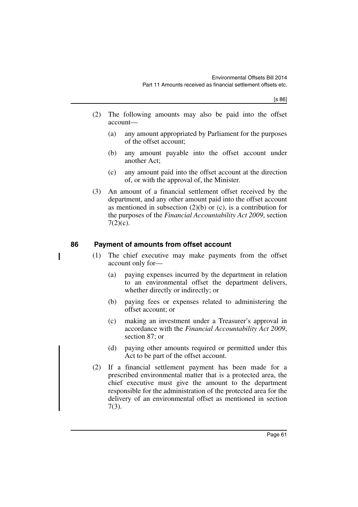- (2) The following amounts may also be paid into the offset account—
	- (a) any amount appropriated by Parliament for the purposes of the offset account;
	- (b) any amount payable into the offset account under another Act;
	- (c) any amount paid into the offset account at the direction of, or with the approval of, the Minister.
- (3) An amount of a financial settlement offset received by the department, and any other amount paid into the offset account as mentioned in subsection  $(2)(b)$  or  $(c)$ , is a contribution for the purposes of the *Financial Accountability Act 2009*, section  $7(2)(c)$ .

## **86 Payment of amounts from offset account**

- (1) The chief executive may make payments from the offset account only for—
	- (a) paying expenses incurred by the department in relation to an environmental offset the department delivers, whether directly or indirectly; or
	- (b) paying fees or expenses related to administering the offset account; or
	- (c) making an investment under a Treasurer's approval in accordance with the *Financial Accountability Act 2009*, section 87; or
	- (d) paying other amounts required or permitted under this Act to be part of the offset account.
- (2) If a financial settlement payment has been made for a prescribed environmental matter that is a protected area, the chief executive must give the amount to the department responsible for the administration of the protected area for the delivery of an environmental offset as mentioned in section 7(3).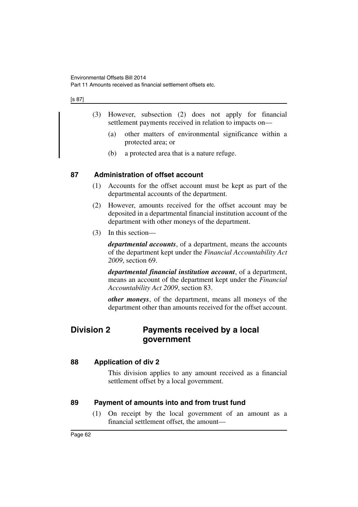Part 11 Amounts received as financial settlement offsets etc.

[s 87]

- (3) However, subsection (2) does not apply for financial settlement payments received in relation to impacts on—
	- (a) other matters of environmental significance within a protected area; or
	- (b) a protected area that is a nature refuge.

#### **87 Administration of offset account**

- (1) Accounts for the offset account must be kept as part of the departmental accounts of the department.
- (2) However, amounts received for the offset account may be deposited in a departmental financial institution account of the department with other moneys of the department.
- (3) In this section—

*departmental accounts*, of a department, means the accounts of the department kept under the *Financial Accountability Act 2009*, section 69.

*departmental financial institution account*, of a department, means an account of the department kept under the *Financial Accountability Act 2009*, section 83.

*other moneys*, of the department, means all moneys of the department other than amounts received for the offset account.

## **Division 2 Payments received by a local government**

#### **88 Application of div 2**

This division applies to any amount received as a financial settlement offset by a local government.

#### **89 Payment of amounts into and from trust fund**

(1) On receipt by the local government of an amount as a financial settlement offset, the amount—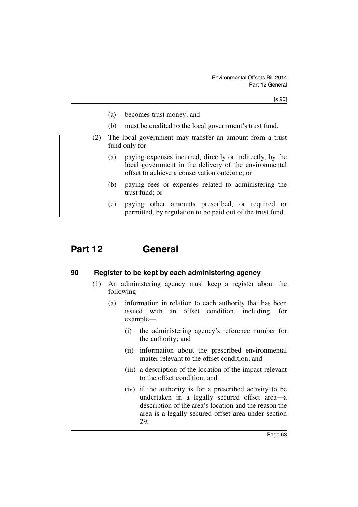- (a) becomes trust money; and
- (b) must be credited to the local government's trust fund.
- (2) The local government may transfer an amount from a trust fund only for—
	- (a) paying expenses incurred, directly or indirectly, by the local government in the delivery of the environmental offset to achieve a conservation outcome; or
	- (b) paying fees or expenses related to administering the trust fund; or
	- (c) paying other amounts prescribed, or required or permitted, by regulation to be paid out of the trust fund.

# **Part 12 General**

#### **90 Register to be kept by each administering agency**

- (1) An administering agency must keep a register about the following—
	- (a) information in relation to each authority that has been issued with an offset condition, including, for example—
		- (i) the administering agency's reference number for the authority; and
		- (ii) information about the prescribed environmental matter relevant to the offset condition; and
		- (iii) a description of the location of the impact relevant to the offset condition; and
		- (iv) if the authority is for a prescribed activity to be undertaken in a legally secured offset area—a description of the area's location and the reason the area is a legally secured offset area under section 29;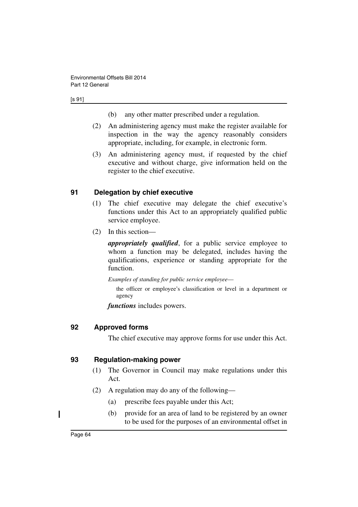#### [s 91]

- (b) any other matter prescribed under a regulation.
- (2) An administering agency must make the register available for inspection in the way the agency reasonably considers appropriate, including, for example, in electronic form.
- (3) An administering agency must, if requested by the chief executive and without charge, give information held on the register to the chief executive.

#### **91 Delegation by chief executive**

- (1) The chief executive may delegate the chief executive's functions under this Act to an appropriately qualified public service employee.
- (2) In this section—

*appropriately qualified*, for a public service employee to whom a function may be delegated, includes having the qualifications, experience or standing appropriate for the function.

*Examples of standing for public service employee*—

the officer or employee's classification or level in a department or agency

*functions* includes powers.

#### **92 Approved forms**

The chief executive may approve forms for use under this Act.

#### **93 Regulation-making power**

- (1) The Governor in Council may make regulations under this Act.
- (2) A regulation may do any of the following—
	- (a) prescribe fees payable under this Act;
	- (b) provide for an area of land to be registered by an owner to be used for the purposes of an environmental offset in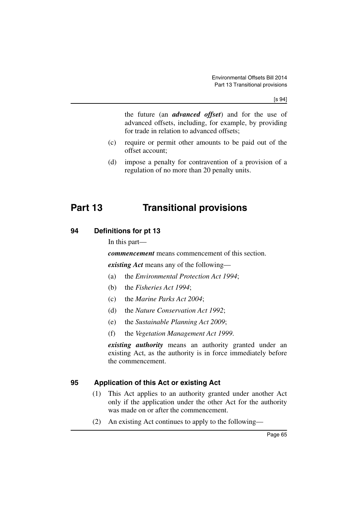the future (an *advanced offset*) and for the use of advanced offsets, including, for example, by providing for trade in relation to advanced offsets;

- (c) require or permit other amounts to be paid out of the offset account;
- (d) impose a penalty for contravention of a provision of a regulation of no more than 20 penalty units.

# **Part 13 Transitional provisions**

## **94 Definitions for pt 13**

In this part—

*commencement* means commencement of this section.

*existing Act* means any of the following—

- (a) the *Environmental Protection Act 1994*;
- (b) the *Fisheries Act 1994*;
- (c) the *Marine Parks Act 2004*;
- (d) the *Nature Conservation Act 1992*;
- (e) the *Sustainable Planning Act 2009*;
- (f) the *Vegetation Management Act 1999*.

*existing authority* means an authority granted under an existing Act, as the authority is in force immediately before the commencement.

## **95 Application of this Act or existing Act**

- (1) This Act applies to an authority granted under another Act only if the application under the other Act for the authority was made on or after the commencement.
- (2) An existing Act continues to apply to the following—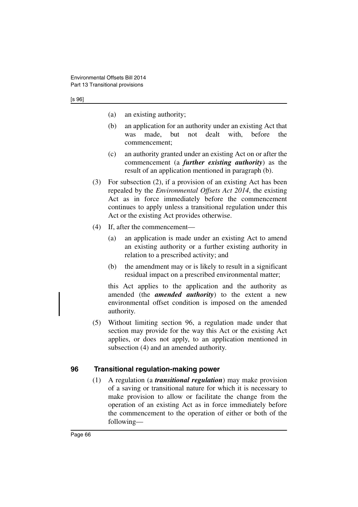#### [s 96]

- (a) an existing authority;
- (b) an application for an authority under an existing Act that was made, but not dealt with, before the commencement;
- (c) an authority granted under an existing Act on or after the commencement (a *further existing authority*) as the result of an application mentioned in paragraph (b).
- (3) For subsection (2), if a provision of an existing Act has been repealed by the *Environmental Offsets Act 2014*, the existing Act as in force immediately before the commencement continues to apply unless a transitional regulation under this Act or the existing Act provides otherwise.
- (4) If, after the commencement—
	- (a) an application is made under an existing Act to amend an existing authority or a further existing authority in relation to a prescribed activity; and
	- (b) the amendment may or is likely to result in a significant residual impact on a prescribed environmental matter;

this Act applies to the application and the authority as amended (the *amended authority*) to the extent a new environmental offset condition is imposed on the amended authority.

(5) Without limiting section 96, a regulation made under that section may provide for the way this Act or the existing Act applies, or does not apply, to an application mentioned in subsection (4) and an amended authority.

## **96 Transitional regulation-making power**

(1) A regulation (a *transitional regulation*) may make provision of a saving or transitional nature for which it is necessary to make provision to allow or facilitate the change from the operation of an existing Act as in force immediately before the commencement to the operation of either or both of the following—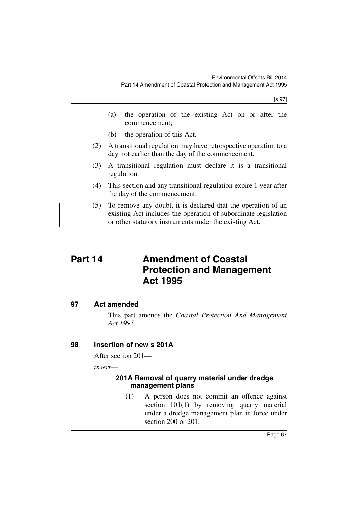[s 97]

- (a) the operation of the existing Act on or after the commencement;
- (b) the operation of this Act.
- (2) A transitional regulation may have retrospective operation to a day not earlier than the day of the commencement.
- (3) A transitional regulation must declare it is a transitional regulation.
- (4) This section and any transitional regulation expire 1 year after the day of the commencement.
- (5) To remove any doubt, it is declared that the operation of an existing Act includes the operation of subordinate legislation or other statutory instruments under the existing Act.

# **Part 14 Amendment of Coastal Protection and Management Act 1995**

## **97 Act amended**

This part amends the *Coastal Protection And Management Act 1995.*

## **98 Insertion of new s 201A**

After section 201—

*insert*—

#### **201A Removal of quarry material under dredge management plans**

(1) A person does not commit an offence against section 101(1) by removing quarry material under a dredge management plan in force under section 200 or 201.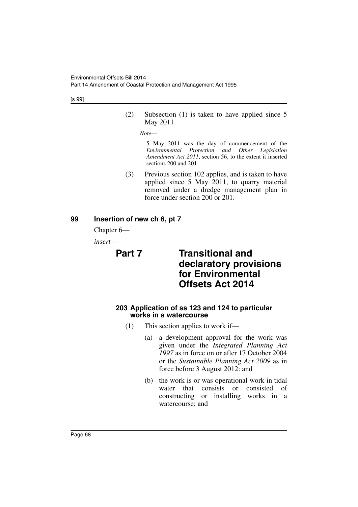[s 99]

(2) Subsection (1) is taken to have applied since 5 May 2011.

*Note*—

5 May 2011 was the day of commencement of the *Environmental Protection and Other Legislation Amendment Act 2011*, section 56, to the extent it inserted sections 200 and 201

(3) Previous section 102 applies, and is taken to have applied since 5 May 2011, to quarry material removed under a dredge management plan in force under section 200 or 201.

## **99 Insertion of new ch 6, pt 7**

Chapter 6—

*insert*—

# **Part 7 Transitional and declaratory provisions for Environmental Offsets Act 2014**

## **203 Application of ss 123 and 124 to particular works in a watercourse**

- (1) This section applies to work if—
	- (a) a development approval for the work was given under the *Integrated Planning Act 1997* as in force on or after 17 October 2004 or the *Sustainable Planning Act 2009* as in force before 3 August 2012: and
	- (b) the work is or was operational work in tidal water that consists or consisted of constructing or installing works in a watercourse; and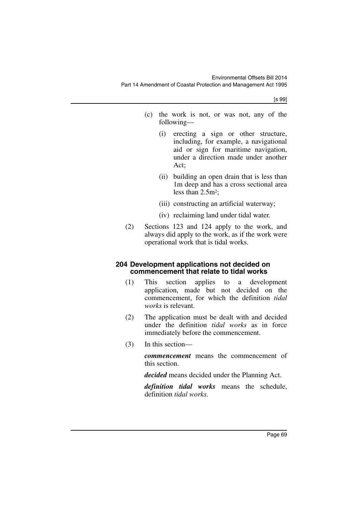[s 99]

- (c) the work is not, or was not, any of the following—
	- (i) erecting a sign or other structure, including, for example, a navigational aid or sign for maritime navigation, under a direction made under another Act;
	- (ii) building an open drain that is less than 1m deep and has a cross sectional area less than 2.5m2;
	- (iii) constructing an artificial waterway;
	- (iv) reclaiming land under tidal water.
- (2) Sections 123 and 124 apply to the work, and always did apply to the work, as if the work were operational work that is tidal works.

#### **204 Development applications not decided on commencement that relate to tidal works**

- (1) This section applies to a development application, made but not decided on the commencement, for which the definition *tidal works* is relevant.
- (2) The application must be dealt with and decided under the definition *tidal works* as in force immediately before the commencement.
- (3) In this section—

*commencement* means the commencement of this section.

*decided* means decided under the Planning Act.

*definition tidal works* means the schedule, definition *tidal works.*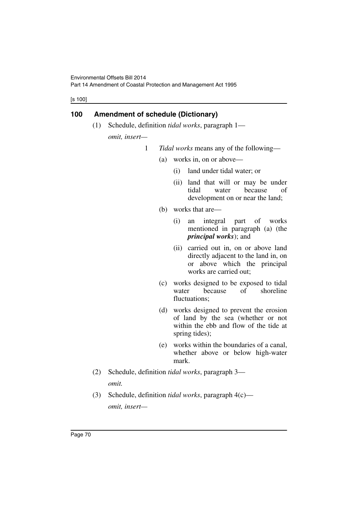[s 100]

## **100 Amendment of schedule (Dictionary)**

(1) Schedule, definition *tidal works*, paragraph 1—

*omit, insert—*

- 1 *Tidal works* means any of the following—
	- (a) works in, on or above—
		- (i) land under tidal water; or
		- (ii) land that will or may be under tidal water because of development on or near the land;
	- (b) works that are—
		- (i) an integral part of works mentioned in paragraph (a) (the *principal works*); and
		- (ii) carried out in, on or above land directly adjacent to the land in, on or above which the principal works are carried out;
	- (c) works designed to be exposed to tidal water because of shoreline fluctuations;
	- (d) works designed to prevent the erosion of land by the sea (whether or not within the ebb and flow of the tide at spring tides);
	- (e) works within the boundaries of a canal, whether above or below high-water mark.
- (2) Schedule, definition *tidal works*, paragraph 3 *omit.*
- (3) Schedule, definition *tidal works*, paragraph 4(c) *omit, insert—*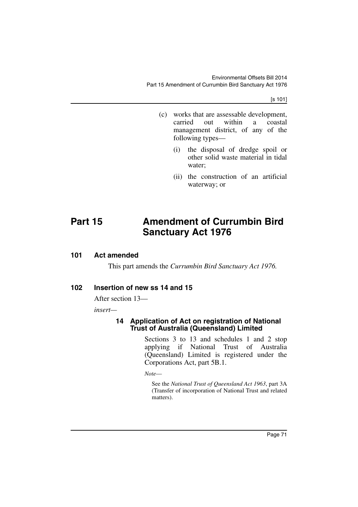[s 101]

- (c) works that are assessable development, carried out within a coastal management district, of any of the following types—
	- (i) the disposal of dredge spoil or other solid waste material in tidal water;
	- (ii) the construction of an artificial waterway; or

# **Part 15 Amendment of Currumbin Bird Sanctuary Act 1976**

## **101 Act amended**

This part amends the *Currumbin Bird Sanctuary Act 1976.*

# **102 Insertion of new ss 14 and 15**

After section 13—

*insert—*

## **14 Application of Act on registration of National Trust of Australia (Queensland) Limited**

Sections 3 to 13 and schedules 1 and 2 stop applying if National Trust of Australia (Queensland) Limited is registered under the Corporations Act, part 5B.1.

*Note*—

See the *National Trust of Queensland Act 1963*, part 3A (Transfer of incorporation of National Trust and related matters).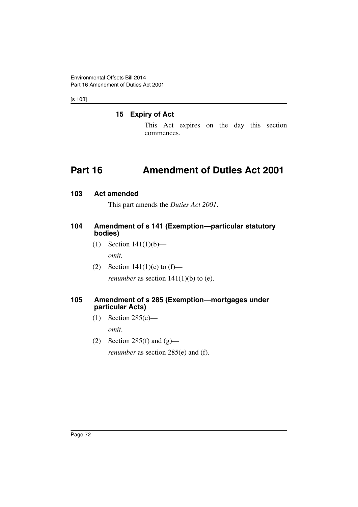[s 103]

# **15 Expiry of Act**

This Act expires on the day this section commences.

# **Part 16 Amendment of Duties Act 2001**

### **103 Act amended**

This part amends the *Duties Act 2001*.

### **104 Amendment of s 141 (Exemption—particular statutory bodies)**

- (1) Section 141(1)(b) *omit.*
- (2) Section  $141(1)(c)$  to  $(f)$ —

*renumber* as section  $141(1)(b)$  to (e).

#### **105 Amendment of s 285 (Exemption—mortgages under particular Acts)**

(1) Section 285(e)—

*omit*.

(2) Section 285(f) and  $(g)$ —

*renumber* as section 285(e) and (f).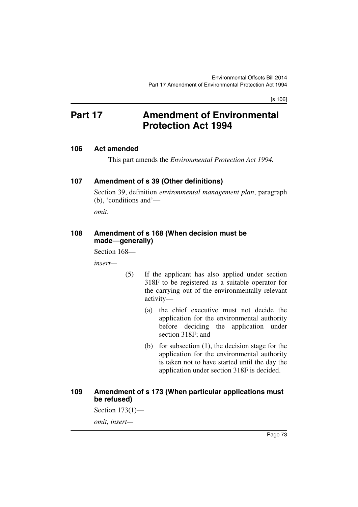[s 106]

# **Part 17 Amendment of Environmental Protection Act 1994**

#### **106 Act amended**

This part amends the *Environmental Protection Act 1994.*

### **107 Amendment of s 39 (Other definitions)**

Section 39, definition *environmental management plan*, paragraph (b), 'conditions and'—

*omit*.

#### **108 Amendment of s 168 (When decision must be made—generally)**

Section 168—

*insert—*

- (5) If the applicant has also applied under section 318F to be registered as a suitable operator for the carrying out of the environmentally relevant activity—
	- (a) the chief executive must not decide the application for the environmental authority before deciding the application under section 318F; and
	- (b) for subsection (1), the decision stage for the application for the environmental authority is taken not to have started until the day the application under section 318F is decided.

## **109 Amendment of s 173 (When particular applications must be refused)**

Section 173(1)—

*omit, insert—*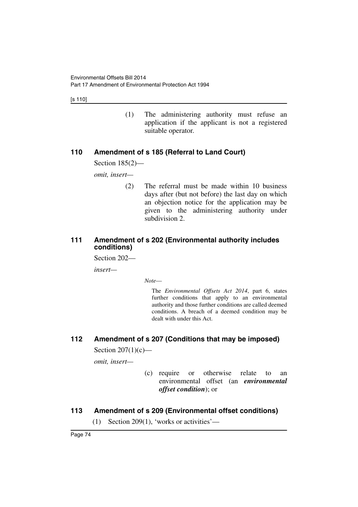[s 110]

(1) The administering authority must refuse an application if the applicant is not a registered suitable operator.

# **110 Amendment of s 185 (Referral to Land Court)**

Section 185(2)—

*omit, insert—*

(2) The referral must be made within 10 business days after (but not before) the last day on which an objection notice for the application may be given to the administering authority under subdivision 2.

## **111 Amendment of s 202 (Environmental authority includes conditions)**

Section 202—

*insert—*

*Note*—

The *Environmental Offsets Act 2014*, part 6, states further conditions that apply to an environmental authority and those further conditions are called deemed conditions. A breach of a deemed condition may be dealt with under this Act.

# **112 Amendment of s 207 (Conditions that may be imposed)**

Section  $207(1)(c)$ —

*omit, insert—*

(c) require or otherwise relate to an environmental offset (an *environmental offset condition*); or

# **113 Amendment of s 209 (Environmental offset conditions)**

(1) Section 209(1), 'works or activities'—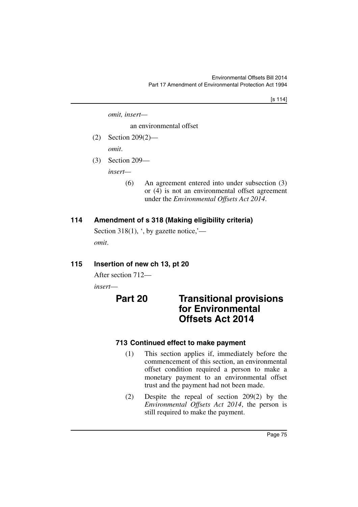*omit, insert—*

an environmental offset

(2) Section 209(2)—

*omit*.

(3) Section 209—

*insert—*

(6) An agreement entered into under subsection (3) or (4) is not an environmental offset agreement under the *Environmental Offsets Act 2014*.

# **114 Amendment of s 318 (Making eligibility criteria)**

Section 318(1),  $\cdot$ , by gazette notice,  $\cdot$  *omit*.

### **115 Insertion of new ch 13, pt 20**

After section 712—

*insert*—

# **Part 20 Transitional provisions for Environmental Offsets Act 2014**

# **713 Continued effect to make payment**

- (1) This section applies if, immediately before the commencement of this section, an environmental offset condition required a person to make a monetary payment to an environmental offset trust and the payment had not been made.
- (2) Despite the repeal of section 209(2) by the *Environmental Offsets Act 2014*, the person is still required to make the payment.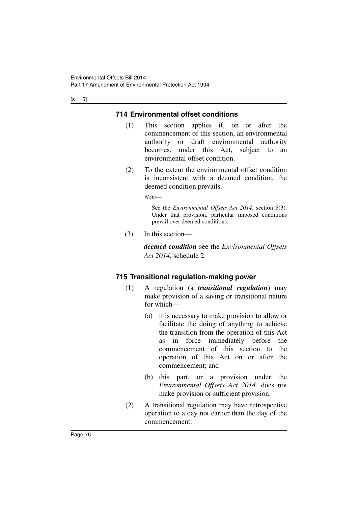[s 115]

# **714 Environmental offset conditions**

- (1) This section applies if, on or after the commencement of this section, an environmental authority or draft environmental authority becomes, under this Act, subject to an environmental offset condition.
- (2) To the extent the environmental offset condition is inconsistent with a deemed condition, the deemed condition prevails.

*Note*—

See the *Environmental Offsets Act 2014*, section 5(3). Under that provision, particular imposed conditions prevail over deemed conditions.

(3) In this section—

*deemed condition* see the *Environmental Offsets Act 2014*, schedule 2.

# **715 Transitional regulation-making power**

- (1) A regulation (a *transitional regulation*) may make provision of a saving or transitional nature for which—
	- (a) it is necessary to make provision to allow or facilitate the doing of anything to achieve the transition from the operation of this Act as in force immediately before the commencement of this section to the operation of this Act on or after the commencement; and
	- (b) this part, or a provision under the *Environmental Offsets Act 2014*, does not make provision or sufficient provision.
- (2) A transitional regulation may have retrospective operation to a day not earlier than the day of the commencement.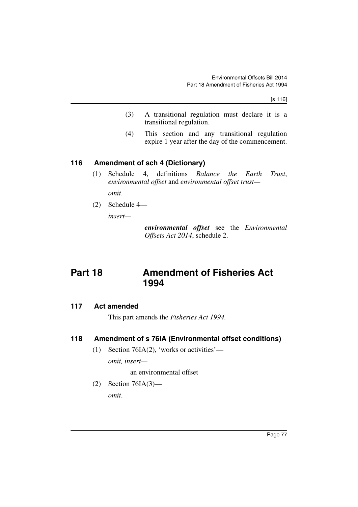- (3) A transitional regulation must declare it is a transitional regulation.
- (4) This section and any transitional regulation expire 1 year after the day of the commencement.

# **116 Amendment of sch 4 (Dictionary)**

(1) Schedule 4, definitions *Balance the Earth Trust*, *environmental offset* and *environmental offset trust—*

*omit*.

(2) Schedule 4—

*insert—*

*environmental offset* see the *Environmental Offsets Act 2014*, schedule 2.

# **Part 18 Amendment of Fisheries Act 1994**

### **117 Act amended**

This part amends the *Fisheries Act 1994.*

# **118 Amendment of s 76IA (Environmental offset conditions)**

(1) Section 76IA(2), 'works or activities'—

*omit, insert—*

an environmental offset

(2) Section 76IA(3)—

*omit*.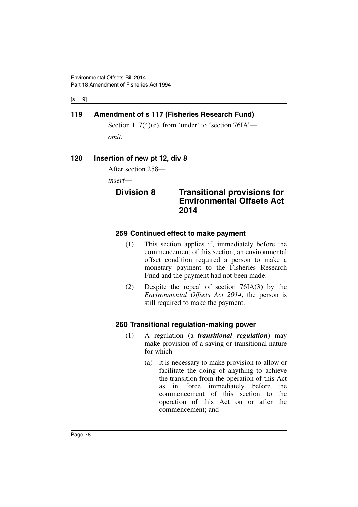[s 119]

# **119 Amendment of s 117 (Fisheries Research Fund)**

Section  $117(4)$ (c), from 'under' to 'section  $76IA'$  *omit*.

## **120 Insertion of new pt 12, div 8**

After section 258—

*insert*—

# **Division 8 Transitional provisions for Environmental Offsets Act 2014**

# **259 Continued effect to make payment**

- (1) This section applies if, immediately before the commencement of this section, an environmental offset condition required a person to make a monetary payment to the Fisheries Research Fund and the payment had not been made.
- (2) Despite the repeal of section 76IA(3) by the *Environmental Offsets Act 2014*, the person is still required to make the payment.

# **260 Transitional regulation-making power**

- (1) A regulation (a *transitional regulation*) may make provision of a saving or transitional nature for which—
	- (a) it is necessary to make provision to allow or facilitate the doing of anything to achieve the transition from the operation of this Act as in force immediately before the commencement of this section to the operation of this Act on or after the commencement; and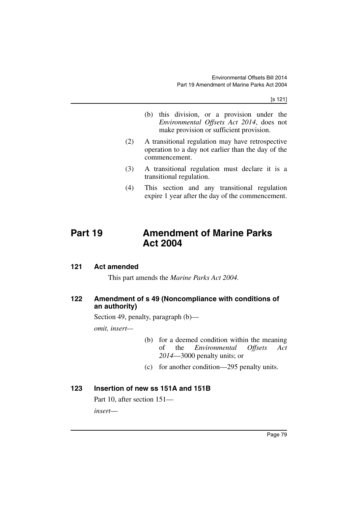[s 121]

- (b) this division, or a provision under the *Environmental Offsets Act 2014*, does not make provision or sufficient provision.
- (2) A transitional regulation may have retrospective operation to a day not earlier than the day of the commencement.
- (3) A transitional regulation must declare it is a transitional regulation.
- (4) This section and any transitional regulation expire 1 year after the day of the commencement.

# **Part 19 Amendment of Marine Parks Act 2004**

**121 Act amended**

This part amends the *Marine Parks Act 2004.*

#### **122 Amendment of s 49 (Noncompliance with conditions of an authority)**

Section 49, penalty, paragraph (b)—

*omit, insert—*

- (b) for a deemed condition within the meaning of the *Environmental Offsets Act 2014*—3000 penalty units; or
- (c) for another condition—295 penalty units.

# **123 Insertion of new ss 151A and 151B**

Part 10, after section 151 *insert*—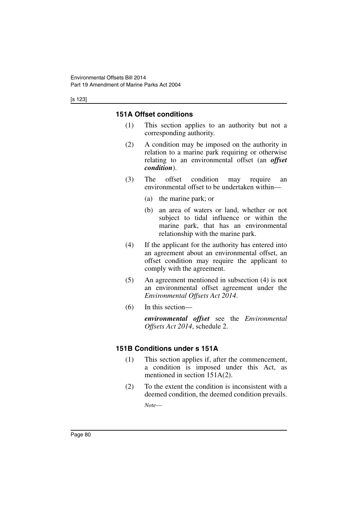#### [s 123]

# **151A Offset conditions**

- (1) This section applies to an authority but not a corresponding authority.
- (2) A condition may be imposed on the authority in relation to a marine park requiring or otherwise relating to an environmental offset (an *offset condition*).
- (3) The offset condition may require an environmental offset to be undertaken within—
	- (a) the marine park; or
	- (b) an area of waters or land, whether or not subject to tidal influence or within the marine park, that has an environmental relationship with the marine park.
- (4) If the applicant for the authority has entered into an agreement about an environmental offset, an offset condition may require the applicant to comply with the agreement.
- (5) An agreement mentioned in subsection (4) is not an environmental offset agreement under the *Environmental Offsets Act 2014*.
- (6) In this section—

*environmental offset* see the *Environmental Offsets Act 2014*, schedule 2.

# **151B Conditions under s 151A**

- (1) This section applies if, after the commencement, a condition is imposed under this Act, as mentioned in section 151A(2).
- (2) To the extent the condition is inconsistent with a deemed condition, the deemed condition prevails.

*Note*—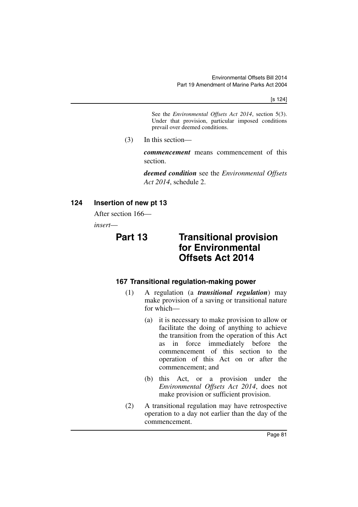[s 124]

See the *Environmental Offsets Act 2014*, section 5(3). Under that provision, particular imposed conditions prevail over deemed conditions.

(3) In this section—

*commencement* means commencement of this section.

*deemed condition* see the *Environmental Offsets Act 2014*, schedule 2.

# **124 Insertion of new pt 13**

After section 166—

*insert*—

# **Part 13 Transitional provision for Environmental Offsets Act 2014**

# **167 Transitional regulation-making power**

- (1) A regulation (a *transitional regulation*) may make provision of a saving or transitional nature for which—
	- (a) it is necessary to make provision to allow or facilitate the doing of anything to achieve the transition from the operation of this Act as in force immediately before the commencement of this section to the operation of this Act on or after the commencement; and
	- (b) this Act, or a provision under the *Environmental Offsets Act 2014*, does not make provision or sufficient provision.
- (2) A transitional regulation may have retrospective operation to a day not earlier than the day of the commencement.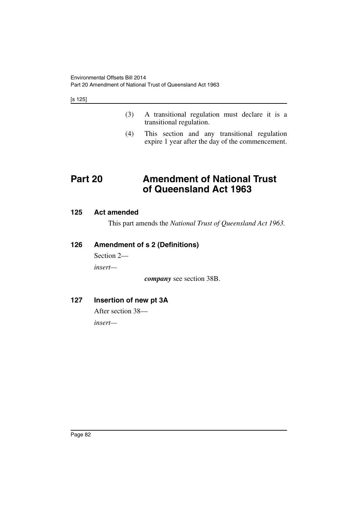[s 125]

- (3) A transitional regulation must declare it is a transitional regulation.
- (4) This section and any transitional regulation expire 1 year after the day of the commencement.

# **Part 20 Amendment of National Trust of Queensland Act 1963**

### **125 Act amended**

This part amends the *National Trust of Queensland Act 1963.*

## **126 Amendment of s 2 (Definitions)**

Section 2—

*insert—*

*company* see section 38B.

# **127 Insertion of new pt 3A**

After section 38—

*insert—*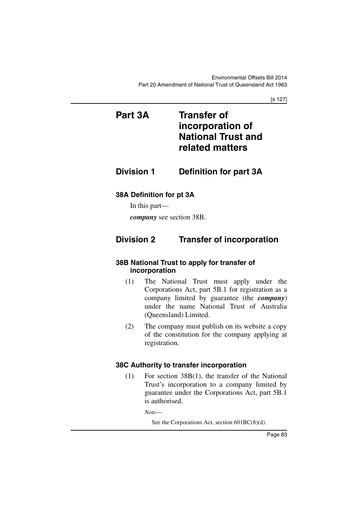[s 127]

# **Part 3A Transfer of incorporation of National Trust and related matters**

# **Division 1 Definition for part 3A**

# **38A Definition for pt 3A**

In this part—

*company* see section 38B.

# **Division 2 Transfer of incorporation**

# **38B National Trust to apply for transfer of incorporation**

- (1) The National Trust must apply under the Corporations Act, part 5B.1 for registration as a company limited by guarantee (the *company*) under the name National Trust of Australia (Queensland) Limited.
- (2) The company must publish on its website a copy of the constitution for the company applying at registration.

# **38C Authority to transfer incorporation**

(1) For section 38B(1), the transfer of the National Trust's incorporation to a company limited by guarantee under the Corporations Act, part 5B.1 is authorised.

*Note*—

See the Corporations Act, section 601BC(8)(d).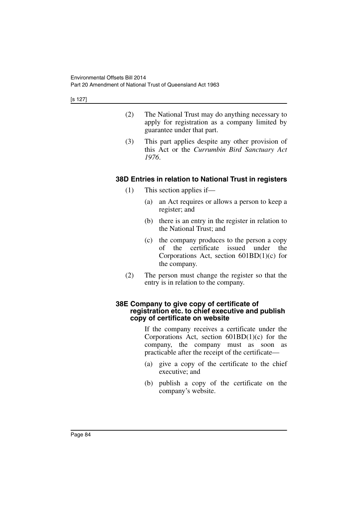[s 127]

- (2) The National Trust may do anything necessary to apply for registration as a company limited by guarantee under that part.
- (3) This part applies despite any other provision of this Act or the *Currumbin Bird Sanctuary Act 1976*.

# **38D Entries in relation to National Trust in registers**

- (1) This section applies if—
	- (a) an Act requires or allows a person to keep a register; and
	- (b) there is an entry in the register in relation to the National Trust; and
	- (c) the company produces to the person a copy of the certificate issued under the Corporations Act, section 601BD(1)(c) for the company.
- (2) The person must change the register so that the entry is in relation to the company.

#### **38E Company to give copy of certificate of registration etc. to chief executive and publish copy of certificate on website**

If the company receives a certificate under the Corporations Act, section  $601BD(1)(c)$  for the company, the company must as soon as practicable after the receipt of the certificate—

- (a) give a copy of the certificate to the chief executive; and
- (b) publish a copy of the certificate on the company's website.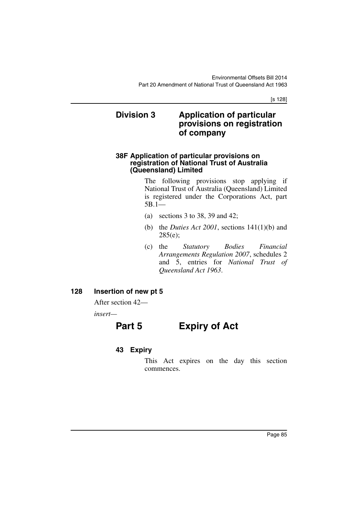[s 128]

# **Division 3 Application of particular provisions on registration of company**

#### **38F Application of particular provisions on registration of National Trust of Australia (Queensland) Limited**

The following provisions stop applying if National Trust of Australia (Queensland) Limited is registered under the Corporations Act, part 5B.1—

- (a) sections 3 to 38, 39 and 42;
- (b) the *Duties Act 2001*, sections 141(1)(b) and 285(e);
- (c) the *Statutory Bodies Financial Arrangements Regulation 2007*, schedules 2 and 5, entries for *National Trust of Queensland Act 1963*.

# **128 Insertion of new pt 5**

After section 42—

*insert—*

# **Part 5 Expiry of Act**

# **43 Expiry**

This Act expires on the day this section commences.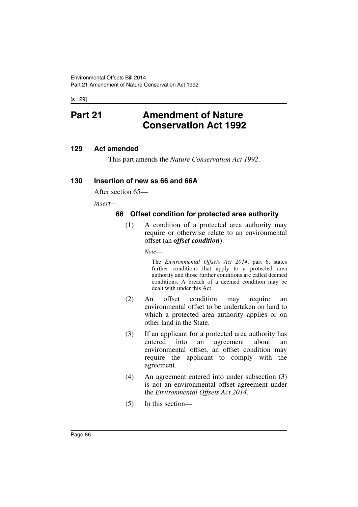[s 129]

# **Part 21 Amendment of Nature Conservation Act 1992**

#### **129 Act amended**

This part amends the *Nature Conservation Act 1992*.

#### **130 Insertion of new ss 66 and 66A**

After section 65—

*insert—*

#### **66 Offset condition for protected area authority**

(1) A condition of a protected area authority may require or otherwise relate to an environmental offset (an *offset condition*).

*Note*—

The *Environmental Offsets Act 2014*, part 6, states further conditions that apply to a protected area authority and those further conditions are called deemed conditions. A breach of a deemed condition may be dealt with under this Act.

- (2) An offset condition may require an environmental offset to be undertaken on land to which a protected area authority applies or on other land in the State.
- (3) If an applicant for a protected area authority has entered into an agreement about an environmental offset, an offset condition may require the applicant to comply with the agreement.
- (4) An agreement entered into under subsection (3) is not an environmental offset agreement under the *Environmental Offsets Act 2014*.
- (5) In this section—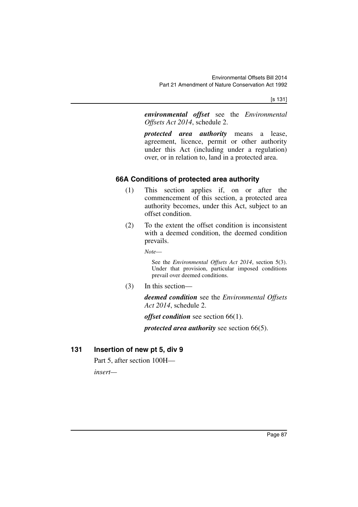[s 131]

*environmental offset* see the *Environmental Offsets Act 2014*, schedule 2.

*protected area authority* means a lease, agreement, licence, permit or other authority under this Act (including under a regulation) over, or in relation to, land in a protected area.

# **66A Conditions of protected area authority**

- (1) This section applies if, on or after the commencement of this section, a protected area authority becomes, under this Act, subject to an offset condition.
- (2) To the extent the offset condition is inconsistent with a deemed condition, the deemed condition prevails.

*Note*—

See the *Environmental Offsets Act 2014*, section 5(3). Under that provision, particular imposed conditions prevail over deemed conditions.

(3) In this section—

*deemed condition* see the *Environmental Offsets Act 2014*, schedule 2.

*offset condition* see section 66(1).

*protected area authority* see section 66(5).

# **131 Insertion of new pt 5, div 9**

Part 5, after section 100H—

*insert—*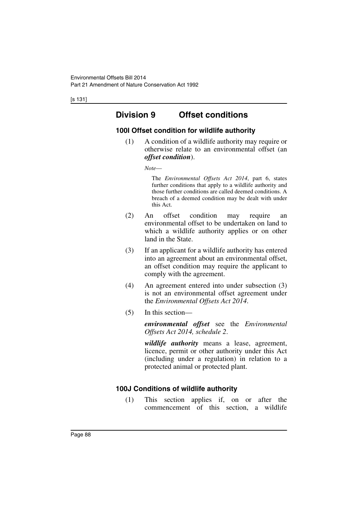[s 131]

# **Division 9 Offset conditions**

### **100I Offset condition for wildlife authority**

(1) A condition of a wildlife authority may require or otherwise relate to an environmental offset (an *offset condition*).

*Note*—

The *Environmental Offsets Act 2014*, part 6, states further conditions that apply to a wildlife authority and those further conditions are called deemed conditions. A breach of a deemed condition may be dealt with under this Act.

- (2) An offset condition may require an environmental offset to be undertaken on land to which a wildlife authority applies or on other land in the State.
- (3) If an applicant for a wildlife authority has entered into an agreement about an environmental offset, an offset condition may require the applicant to comply with the agreement.
- (4) An agreement entered into under subsection (3) is not an environmental offset agreement under the *Environmental Offsets Act 2014*.
- (5) In this section—

*environmental offset* see the *Environmental Offsets Act 2014, schedule 2*.

*wildlife authority* means a lease, agreement, licence, permit or other authority under this Act (including under a regulation) in relation to a protected animal or protected plant.

# **100J Conditions of wildlife authority**

(1) This section applies if, on or after the commencement of this section, a wildlife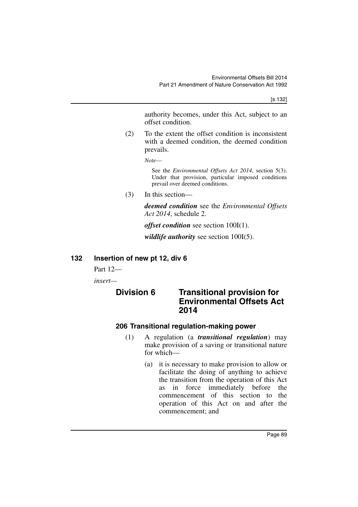[s 132]

authority becomes, under this Act, subject to an offset condition.

(2) To the extent the offset condition is inconsistent with a deemed condition, the deemed condition prevails.

*Note*—

See the *Environmental Offsets Act 2014*, section 5(3). Under that provision, particular imposed conditions prevail over deemed conditions.

(3) In this section—

*deemed condition* see the *Environmental Offsets Act 2014*, schedule 2.

*offset condition* see section 100I(1).

*wildlife authority* see section 100I(5).

### **132 Insertion of new pt 12, div 6**

Part 12—

*insert—*

# **Division 6 Transitional provision for Environmental Offsets Act 2014**

### **206 Transitional regulation-making power**

- (1) A regulation (a *transitional regulation*) may make provision of a saving or transitional nature for which—
	- (a) it is necessary to make provision to allow or facilitate the doing of anything to achieve the transition from the operation of this Act as in force immediately before the commencement of this section to the operation of this Act on and after the commencement; and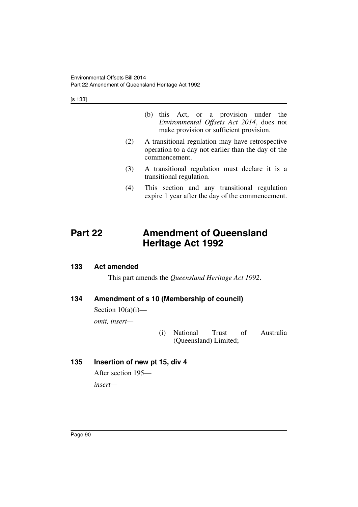[s 133]

- (b) this Act, or a provision under the *Environmental Offsets Act 2014*, does not make provision or sufficient provision.
- (2) A transitional regulation may have retrospective operation to a day not earlier than the day of the commencement.
- (3) A transitional regulation must declare it is a transitional regulation.
- (4) This section and any transitional regulation expire 1 year after the day of the commencement.

# **Part 22 Amendment of Queensland Heritage Act 1992**

**133 Act amended**

This part amends the *Queensland Heritage Act 1992*.

### **134 Amendment of s 10 (Membership of council)**

Section  $10(a)(i)$ —

*omit, insert—*

(i) National Trust of Australia (Queensland) Limited;

# **135 Insertion of new pt 15, div 4**

After section 195 *insert—*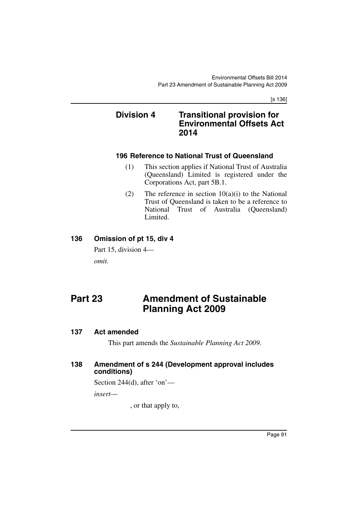[s 136]

# **Division 4 Transitional provision for Environmental Offsets Act 2014**

# **196 Reference to National Trust of Queensland**

- (1) This section applies if National Trust of Australia (Queensland) Limited is registered under the Corporations Act, part 5B.1.
- (2) The reference in section  $10(a)(i)$  to the National Trust of Queensland is taken to be a reference to National Trust of Australia (Queensland) Limited.

# **136 Omission of pt 15, div 4**

Part 15, division 4—

*omit.*

# **Part 23 Amendment of Sustainable Planning Act 2009**

# **137 Act amended**

This part amends the *Sustainable Planning Act 2009.*

## **138 Amendment of s 244 (Development approval includes conditions)**

Section 244(d), after 'on'—

*insert*—

, or that apply to,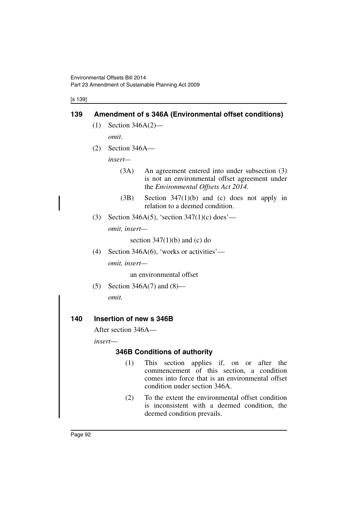[s 139]

# **139 Amendment of s 346A (Environmental offset conditions)**

- (1) Section 346A(2) *omit*.
- (2) Section 346A—

*insert—*

- (3A) An agreement entered into under subsection (3) is not an environmental offset agreement under the *Environmental Offsets Act 2014*.
- (3B) Section 347(1)(b) and (c) does not apply in relation to a deemed condition.
- (3) Section 346A(5), 'section 347(1)(c) does' *omit, insert—*

section  $347(1)(b)$  and (c) do

(4) Section 346A(6), 'works or activities' *omit, insert—*

an environmental offset

(5) Section 346A(7) and  $(8)$  *omit.*

# **140 Insertion of new s 346B**

After section 346A—

*insert*—

# **346B Conditions of authority**

- (1) This section applies if, on or after the commencement of this section, a condition comes into force that is an environmental offset condition under section 346A.
- (2) To the extent the environmental offset condition is inconsistent with a deemed condition, the deemed condition prevails.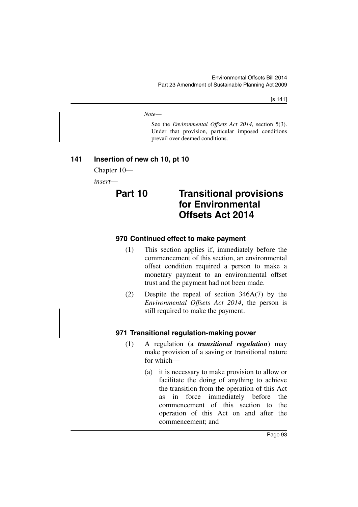[s 141]

*Note*—

See the *Environmental Offsets Act 2014*, section 5(3). Under that provision, particular imposed conditions prevail over deemed conditions.

# **141 Insertion of new ch 10, pt 10**

Chapter 10—

*insert*—

# **Part 10 Transitional provisions for Environmental Offsets Act 2014**

# **970 Continued effect to make payment**

- (1) This section applies if, immediately before the commencement of this section, an environmental offset condition required a person to make a monetary payment to an environmental offset trust and the payment had not been made.
- (2) Despite the repeal of section 346A(7) by the *Environmental Offsets Act 2014*, the person is still required to make the payment.

### **971 Transitional regulation-making power**

- (1) A regulation (a *transitional regulation*) may make provision of a saving or transitional nature for which—
	- (a) it is necessary to make provision to allow or facilitate the doing of anything to achieve the transition from the operation of this Act as in force immediately before the commencement of this section to the operation of this Act on and after the commencement; and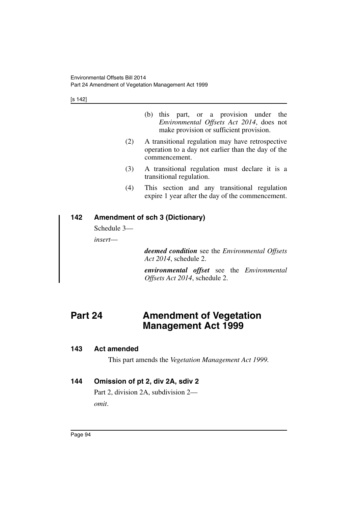[s 142]

- (b) this part, or a provision under the *Environmental Offsets Act 2014*, does not make provision or sufficient provision.
- (2) A transitional regulation may have retrospective operation to a day not earlier than the day of the commencement.
- (3) A transitional regulation must declare it is a transitional regulation.
- (4) This section and any transitional regulation expire 1 year after the day of the commencement.

# **142 Amendment of sch 3 (Dictionary)**

Schedule 3—

*insert*—

*deemed condition* see the *Environmental Offsets Act 2014*, schedule 2.

*environmental offset* see the *Environmental Offsets Act 2014*, schedule 2.

# **Part 24 Amendment of Vegetation Management Act 1999**

### **143 Act amended**

This part amends the *Vegetation Management Act 1999.*

# **144 Omission of pt 2, div 2A, sdiv 2**

Part 2, division 2A, subdivision 2 *omit*.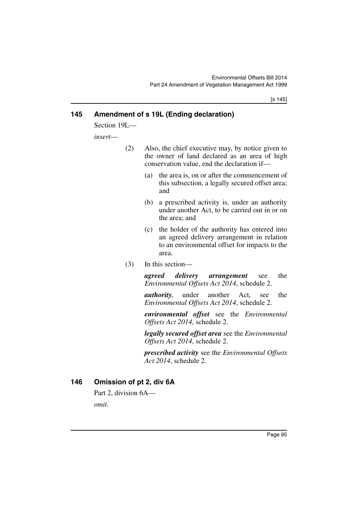[s 145]

# **145 Amendment of s 19L (Ending declaration)**

Section 19L—

*insert*—

- (2) Also, the chief executive may, by notice given to the owner of land declared as an area of high conservation value, end the declaration if—
	- (a) the area is, on or after the commencement of this subsection, a legally secured offset area; and
	- (b) a prescribed activity is, under an authority under another Act, to be carried out in or on the area; and
	- (c) the holder of the authority has entered into an agreed delivery arrangement in relation to an environmental offset for impacts to the area.
- (3) In this section—

*agreed delivery arrangement* see the *Environmental Offsets Act 2014*, schedule 2.

*authority*, under another Act, see the *Environmental Offsets Act 2014*, schedule 2.

*environmental offset* see the *Environmental Offsets Act 2014*, schedule 2.

*legally secured offset area* see the *Environmental Offsets Act 2014*, schedule 2.

*prescribed activity* see the *Environmental Offsets Act 2014*, schedule 2.

# **146 Omission of pt 2, div 6A**

Part 2, division 6A *omit*.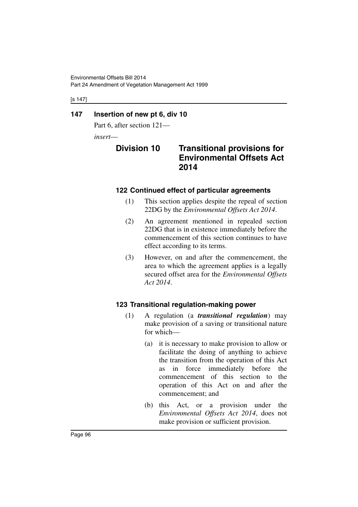[s 147]

## **147 Insertion of new pt 6, div 10**

Part 6, after section 121—

*insert*—

# **Division 10 Transitional provisions for Environmental Offsets Act 2014**

# **122 Continued effect of particular agreements**

- (1) This section applies despite the repeal of section 22DG by the *Environmental Offsets Act 2014*.
- (2) An agreement mentioned in repealed section 22DG that is in existence immediately before the commencement of this section continues to have effect according to its terms.
- (3) However, on and after the commencement, the area to which the agreement applies is a legally secured offset area for the *Environmental Offsets Act 2014*.

# **123 Transitional regulation-making power**

- (1) A regulation (a *transitional regulation*) may make provision of a saving or transitional nature for which—
	- (a) it is necessary to make provision to allow or facilitate the doing of anything to achieve the transition from the operation of this Act as in force immediately before the commencement of this section to the operation of this Act on and after the commencement; and
	- (b) this Act, or a provision under the *Environmental Offsets Act 2014*, does not make provision or sufficient provision.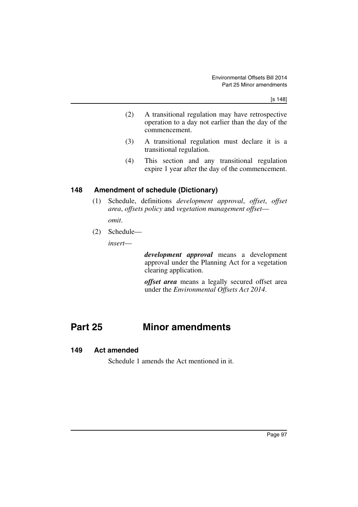- (2) A transitional regulation may have retrospective operation to a day not earlier than the day of the commencement.
- (3) A transitional regulation must declare it is a transitional regulation.
- (4) This section and any transitional regulation expire 1 year after the day of the commencement.

## **148 Amendment of schedule (Dictionary)**

- (1) Schedule, definitions *development approval*, *offset*, *offset area*, *offsets policy* and *vegetation management offset omit*.
- (2) Schedule—

*insert*—

*development approval* means a development approval under the Planning Act for a vegetation clearing application.

*offset area* means a legally secured offset area under the *Environmental Offsets Act 2014*.

# **Part 25 Minor amendments**

#### **149 Act amended**

Schedule 1 amends the Act mentioned in it.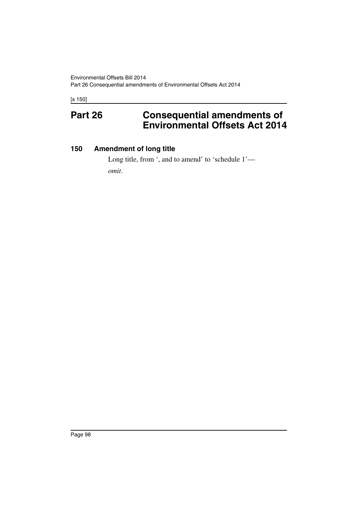[s 150]

# **Part 26 Consequential amendments of Environmental Offsets Act 2014**

## **150 Amendment of long title**

Long title, from ', and to amend' to 'schedule 1' *omit*.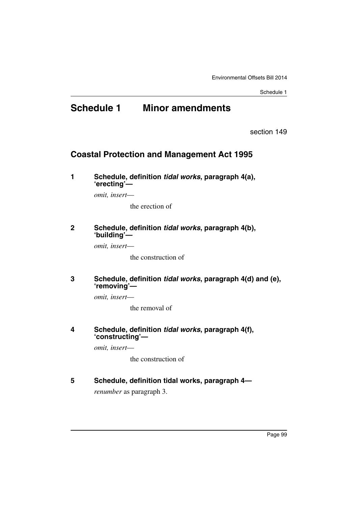# **Schedule 1 Minor amendments**

section 149

# **Coastal Protection and Management Act 1995**

**1 Schedule, definition** *tidal works***, paragraph 4(a), 'erecting'—**

*omit, insert*—

the erection of

#### **2 Schedule, definition** *tidal works***, paragraph 4(b), 'building'—**

*omit, insert*—

the construction of

#### **3 Schedule, definition** *tidal works***, paragraph 4(d) and (e), 'removing'—**

*omit, insert*—

the removal of

#### **4 Schedule, definition** *tidal works***, paragraph 4(f), 'constructing'—**

*omit, insert*—

the construction of

**5 Schedule, definition tidal works, paragraph 4—**

*renumber* as paragraph 3.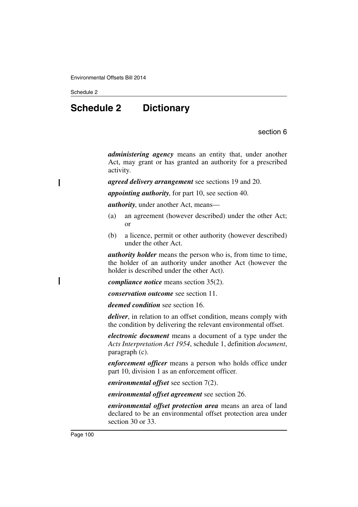Ι

Ι

# **Schedule 2 Dictionary**

section 6

*administering agency* means an entity that, under another Act, may grant or has granted an authority for a prescribed activity.

*agreed delivery arrangement* see sections 19 and 20.

*appointing authority*, for part 10, see section 40.

*authority*, under another Act, means—

- (a) an agreement (however described) under the other Act; or
- (b) a licence, permit or other authority (however described) under the other Act.

*authority holder* means the person who is, from time to time, the holder of an authority under another Act (however the holder is described under the other Act).

*compliance notice* means section 35(2).

*conservation outcome* see section 11.

*deemed condition* see section 16.

*deliver*, in relation to an offset condition, means comply with the condition by delivering the relevant environmental offset.

*electronic document* means a document of a type under the *Acts Interpretation Act 1954*, schedule 1, definition *document*, paragraph (c).

*enforcement officer* means a person who holds office under part 10, division 1 as an enforcement officer.

*environmental offset* see section 7(2).

*environmental offset agreement* see section 26.

*environmental offset protection area* means an area of land declared to be an environmental offset protection area under section 30 or 33.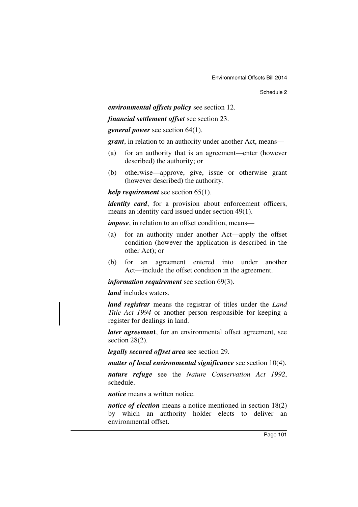*environmental offsets policy* see section 12.

*financial settlement offset* see section 23.

*general power* see section 64(1).

*grant*, in relation to an authority under another Act, means—

- (a) for an authority that is an agreement—enter (however described) the authority; or
- (b) otherwise—approve, give, issue or otherwise grant (however described) the authority.

*help requirement* see section 65(1).

*identity card*, for a provision about enforcement officers, means an identity card issued under section 49(1).

*impose*, in relation to an offset condition, means—

- (a) for an authority under another Act—apply the offset condition (however the application is described in the other Act); or
- (b) for an agreement entered into under another Act—include the offset condition in the agreement.

*information requirement* see section 69(3).

*land* includes waters.

*land registrar* means the registrar of titles under the *Land Title Act 1994* or another person responsible for keeping a register for dealings in land.

*later agreemen***t**, for an environmental offset agreement, see section 28(2).

*legally secured offset area* see section 29.

*matter of local environmental significance* see section 10(4).

*nature refuge* see the *Nature Conservation Act 1992*, schedule.

*notice* means a written notice.

*notice of election* means a notice mentioned in section 18(2) by which an authority holder elects to deliver an environmental offset.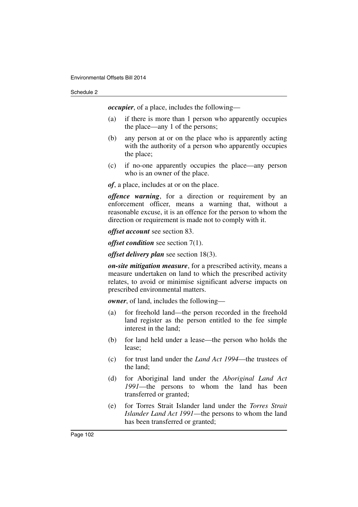*occupier*, of a place, includes the following—

- (a) if there is more than 1 person who apparently occupies the place—any 1 of the persons;
- (b) any person at or on the place who is apparently acting with the authority of a person who apparently occupies the place;
- (c) if no-one apparently occupies the place—any person who is an owner of the place.

*of*, a place, includes at or on the place.

*offence warning*, for a direction or requirement by an enforcement officer, means a warning that, without a reasonable excuse, it is an offence for the person to whom the direction or requirement is made not to comply with it.

*offset account* see section 83.

*offset condition* see section 7(1).

*offset delivery plan* see section 18(3).

*on-site mitigation measure*, for a prescribed activity, means a measure undertaken on land to which the prescribed activity relates, to avoid or minimise significant adverse impacts on prescribed environmental matters.

*owner*, of land, includes the following—

- (a) for freehold land—the person recorded in the freehold land register as the person entitled to the fee simple interest in the land;
- (b) for land held under a lease—the person who holds the lease;
- (c) for trust land under the *Land Act 1994*—the trustees of the land;
- (d) for Aboriginal land under the *Aboriginal Land Act 1991*—the persons to whom the land has been transferred or granted;
- (e) for Torres Strait Islander land under the *Torres Strait Islander Land Act 1991*—the persons to whom the land has been transferred or granted;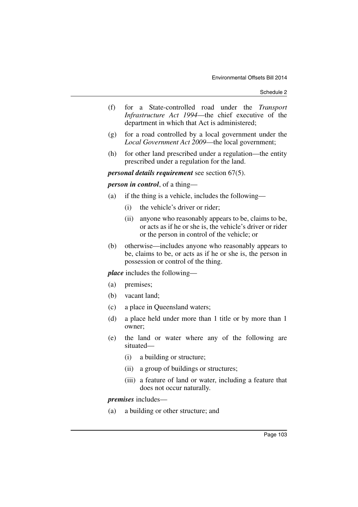- (f) for a State-controlled road under the *Transport Infrastructure Act 1994*—the chief executive of the department in which that Act is administered;
- (g) for a road controlled by a local government under the *Local Government Act 2009*—the local government;
- (h) for other land prescribed under a regulation—the entity prescribed under a regulation for the land.

*personal details requirement* see section 67(5).

*person in control*, of a thing—

- (a) if the thing is a vehicle, includes the following—
	- (i) the vehicle's driver or rider;
	- (ii) anyone who reasonably appears to be, claims to be, or acts as if he or she is, the vehicle's driver or rider or the person in control of the vehicle; or
- (b) otherwise—includes anyone who reasonably appears to be, claims to be, or acts as if he or she is, the person in possession or control of the thing.

*place* includes the following—

- (a) premises;
- (b) vacant land;
- (c) a place in Queensland waters;
- (d) a place held under more than 1 title or by more than 1 owner;
- (e) the land or water where any of the following are situated—
	- (i) a building or structure;
	- (ii) a group of buildings or structures;
	- (iii) a feature of land or water, including a feature that does not occur naturally.

*premises* includes—

(a) a building or other structure; and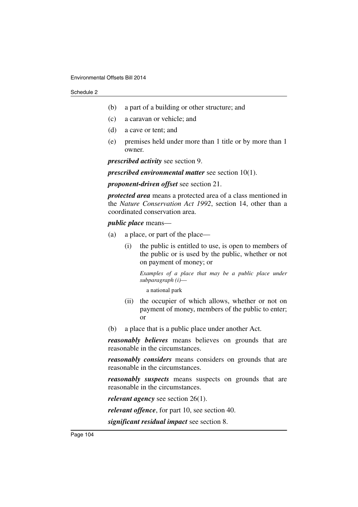- (b) a part of a building or other structure; and
- (c) a caravan or vehicle; and
- (d) a cave or tent; and
- (e) premises held under more than 1 title or by more than 1 owner.

*prescribed activity* see section 9.

*prescribed environmental matter* see section 10(1).

*proponent-driven offset* see section 21.

*protected area* means a protected area of a class mentioned in the *Nature Conservation Act 1992*, section 14, other than a coordinated conservation area.

#### *public place* means—

- (a) a place, or part of the place—
	- (i) the public is entitled to use, is open to members of the public or is used by the public, whether or not on payment of money; or

*Examples of a place that may be a public place under subparagraph (i)*—

a national park

- (ii) the occupier of which allows, whether or not on payment of money, members of the public to enter; or
- (b) a place that is a public place under another Act.

*reasonably believes* means believes on grounds that are reasonable in the circumstances.

*reasonably considers* means considers on grounds that are reasonable in the circumstances.

*reasonably suspects* means suspects on grounds that are reasonable in the circumstances.

*relevant agency* see section 26(1).

*relevant offence*, for part 10, see section 40.

*significant residual impact* see section 8.